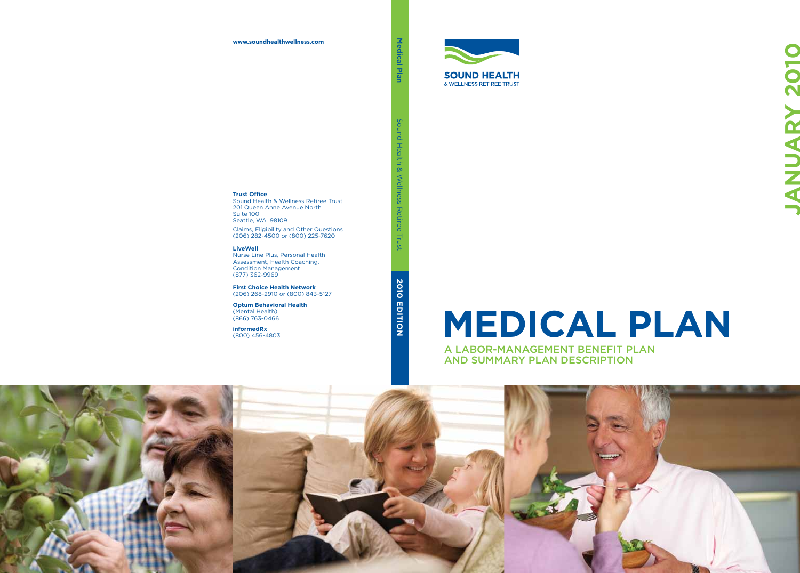#### **www.soundhealthwellness.com**

Medical Plan Sound Health & Wellness Retiree Trust **Medical Plan**



## $\vec{0}$ 룡  $\infty$ Wellne

**2010 EDITION**

**2010 EDITION** 

Trust

**Trust Office**

Sound Health & Wellness Retiree Trust 201 Queen Anne Avenue North Suite 100 Seattle, WA 98109

Claims, Eligibility and Other Questions (206) 282-4500 or (800) 225-7620

#### **LiveWell**

Nurse Line Plus, Personal Health Assessment, Health Coaching, Condition Management (877) 362-9969

**First Choice Health Network** (206) 268-2910 or (800) 843-5127

**Optum Behavioral Health** (Mental Health) (866) 763-0466

**informedRx** (800) 456-4803

# **MEDICAL PLAN**

A LABOR-MANAGEMENT BENEFIT PLAN AND SUMMARY PLAN DESCRIPTION

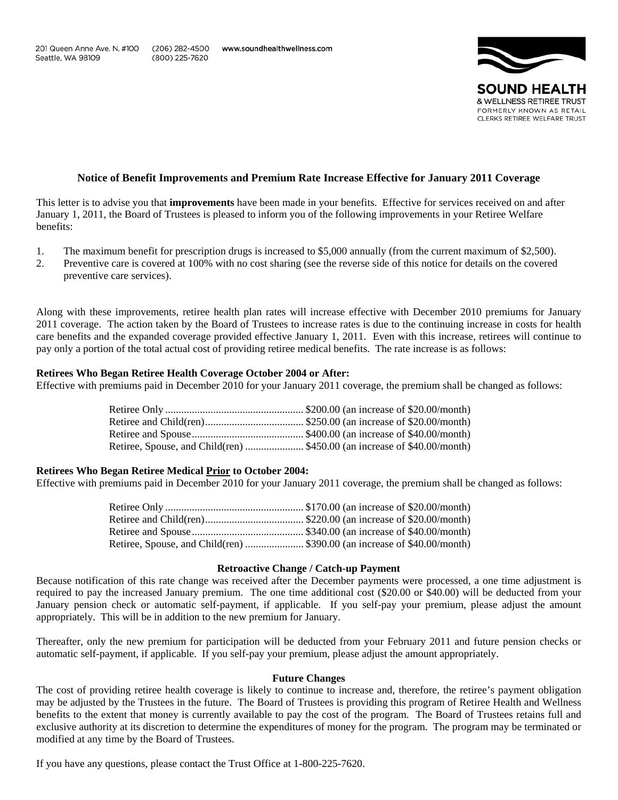201 Queen Anne Ave. N. #100 Seattle, WA 98109

(206) 282-4500 (800) 225-7620

www.soundhealthwellness.com



#### **Notice of Benefit Improvements and Premium Rate Increase Effective for January 2011 Coverage**

This letter is to advise you that **improvements** have been made in your benefits. Effective for services received on and after January 1, 2011, the Board of Trustees is pleased to inform you of the following improvements in your Retiree Welfare benefits:

- 1. The maximum benefit for prescription drugs is increased to \$5,000 annually (from the current maximum of \$2,500).
- 2. Preventive care is covered at 100% with no cost sharing (see the reverse side of this notice for details on the covered preventive care services).

Along with these improvements, retiree health plan rates will increase effective with December 2010 premiums for January 2011 coverage. The action taken by the Board of Trustees to increase rates is due to the continuing increase in costs for health care benefits and the expanded coverage provided effective January 1, 2011. Even with this increase, retirees will continue to pay only a portion of the total actual cost of providing retiree medical benefits. The rate increase is as follows:

#### **Retirees Who Began Retiree Health Coverage October 2004 or After:**

Effective with premiums paid in December 2010 for your January 2011 coverage, the premium shall be changed as follows:

| Retiree, Spouse, and Child(ren)  \$450.00 (an increase of \$40.00/month) |
|--------------------------------------------------------------------------|

#### **Retirees Who Began Retiree Medical Prior to October 2004:**

Effective with premiums paid in December 2010 for your January 2011 coverage, the premium shall be changed as follows:

#### **Retroactive Change / Catch-up Payment**

Because notification of this rate change was received after the December payments were processed, a one time adjustment is required to pay the increased January premium. The one time additional cost (\$20.00 or \$40.00) will be deducted from your January pension check or automatic self-payment, if applicable. If you self-pay your premium, please adjust the amount appropriately. This will be in addition to the new premium for January.

Thereafter, only the new premium for participation will be deducted from your February 2011 and future pension checks or automatic self-payment, if applicable. If you self-pay your premium, please adjust the amount appropriately.

#### **Future Changes**

The cost of providing retiree health coverage is likely to continue to increase and, therefore, the retiree's payment obligation may be adjusted by the Trustees in the future. The Board of Trustees is providing this program of Retiree Health and Wellness benefits to the extent that money is currently available to pay the cost of the program. The Board of Trustees retains full and exclusive authority at its discretion to determine the expenditures of money for the program. The program may be terminated or modified at any time by the Board of Trustees.

If you have any questions, please contact the Trust Office at 1-800-225-7620.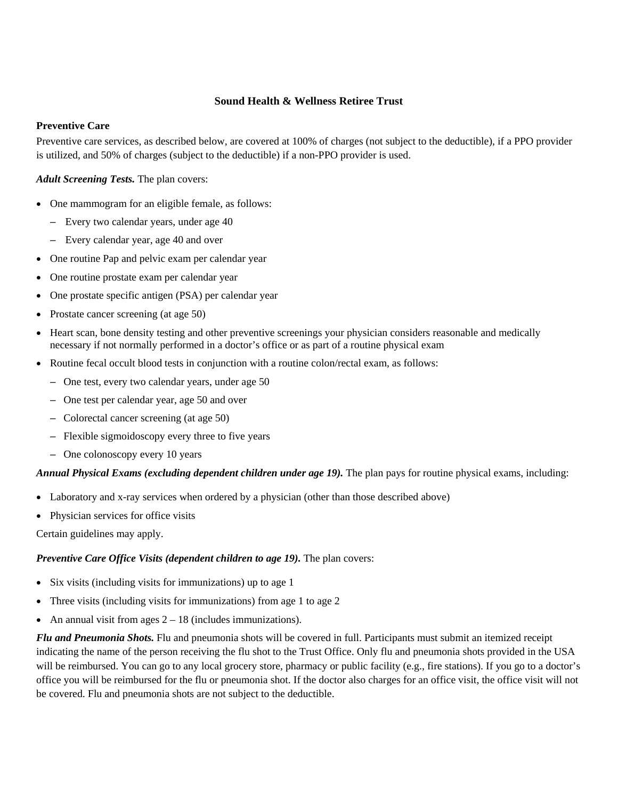#### **Sound Health & Wellness Retiree Trust**

#### **Preventive Care**

Preventive care services, as described below, are covered at 100% of charges (not subject to the deductible), if a PPO provider is utilized, and 50% of charges (subject to the deductible) if a non-PPO provider is used.

*Adult Screening Tests.* The plan covers:

- One mammogram for an eligible female, as follows:
	- Every two calendar years, under age 40
	- Every calendar year, age 40 and over
- One routine Pap and pelvic exam per calendar year
- One routine prostate exam per calendar year
- One prostate specific antigen (PSA) per calendar year
- Prostate cancer screening (at age 50)
- Heart scan, bone density testing and other preventive screenings your physician considers reasonable and medically necessary if not normally performed in a doctor's office or as part of a routine physical exam
- Routine fecal occult blood tests in conjunction with a routine colon/rectal exam, as follows:
	- One test, every two calendar years, under age 50
	- One test per calendar year, age 50 and over
	- Colorectal cancer screening (at age 50)
	- Flexible sigmoidoscopy every three to five years
	- One colonoscopy every 10 years

#### *Annual Physical Exams (excluding dependent children under age 19).* The plan pays for routine physical exams, including:

- Laboratory and x-ray services when ordered by a physician (other than those described above)
- Physician services for office visits

Certain guidelines may apply.

#### *Preventive Care Office Visits (dependent children to age 19). The plan covers:*

- Six visits (including visits for immunizations) up to age 1
- Three visits (including visits for immunizations) from age 1 to age 2
- An annual visit from ages  $2 18$  (includes immunizations).

*Flu and Pneumonia Shots.* Flu and pneumonia shots will be covered in full. Participants must submit an itemized receipt indicating the name of the person receiving the flu shot to the Trust Office. Only flu and pneumonia shots provided in the USA will be reimbursed. You can go to any local grocery store, pharmacy or public facility (e.g., fire stations). If you go to a doctor's office you will be reimbursed for the flu or pneumonia shot. If the doctor also charges for an office visit, the office visit will not be covered. Flu and pneumonia shots are not subject to the deductible.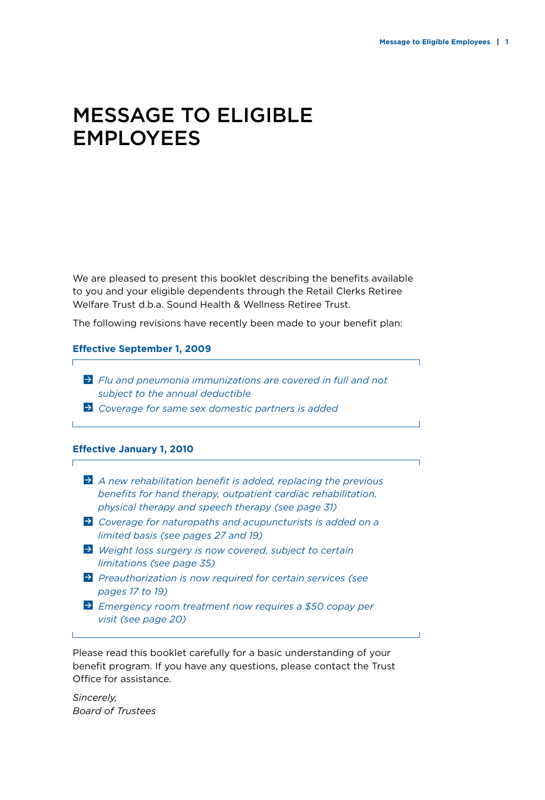### Message to Eligible **EMPLOYEES**

We are pleased to present this booklet describing the benefits available to you and your eligible dependents through the Retail Clerks Retiree Welfare Trust d.b.a. Sound Health & Wellness Retiree Trust.

The following revisions have recently been made to your benefit plan:

#### **Effective September 1, 2009**

- *Flu and pneumonia immunizations are covered in full and not subject to the annual deductible*
- *Coverage for same sex domestic partners is added*

#### **Effective January 1, 2010**

- *A new rehabilitation benefit is added, replacing the previous benefits for hand therapy, outpatient cardiac rehabilitation, physical therapy and speech therapy (see page 31)*
- *Coverage for naturopaths and acupuncturists is added on a limited basis (see pages 27 and 19)*
- *Weight loss surgery is now covered, subject to certain limitations (see page 35)*
- *Preauthorization is now required for certain services (see pages 17 to 19)*
- *Emergency room treatment now requires a \$50 copay per visit (see page 20)*

Please read this booklet carefully for a basic understanding of your benefit program. If you have any questions, please contact the Trust Office for assistance.

*Sincerely, Board of Trustees*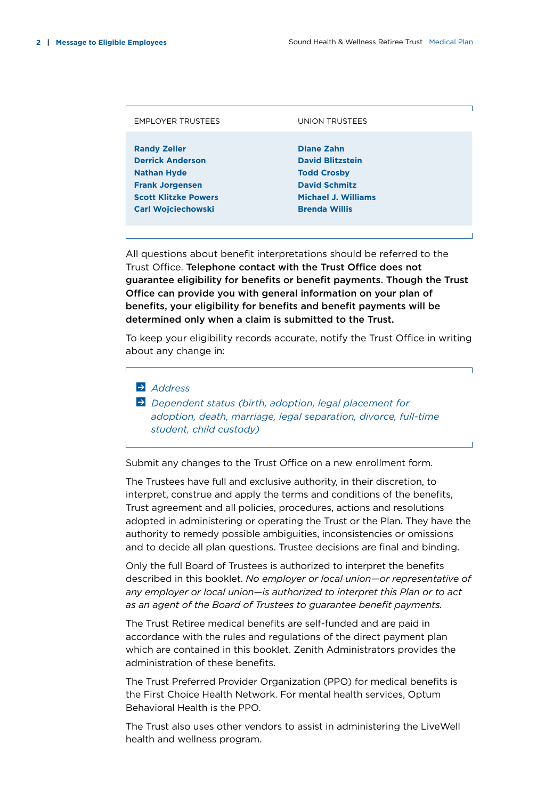| <b>EMPLOYER TRUSTEES</b>                                                                                                                                   | <b>UNION TRUSTEES</b>                                                                                                                            |  |
|------------------------------------------------------------------------------------------------------------------------------------------------------------|--------------------------------------------------------------------------------------------------------------------------------------------------|--|
| <b>Randy Zeiler</b><br><b>Derrick Anderson</b><br><b>Nathan Hyde</b><br><b>Frank Jorgensen</b><br><b>Scott Klitzke Powers</b><br><b>Carl Wojciechowski</b> | <b>Diane Zahn</b><br><b>David Blitzstein</b><br><b>Todd Crosby</b><br><b>David Schmitz</b><br><b>Michael J. Williams</b><br><b>Brenda Willis</b> |  |
|                                                                                                                                                            |                                                                                                                                                  |  |

All questions about benefit interpretations should be referred to the Trust Office. Telephone contact with the Trust Office does not guarantee eligibility for benefits or benefit payments. Though the Trust Office can provide you with general information on your plan of benefits, your eligibility for benefits and benefit payments will be determined only when a claim is submitted to the Trust.

To keep your eligibility records accurate, notify the Trust Office in writing about any change in:

#### *Address*

Ē

 *Dependent status (birth, adoption, legal placement for adoption, death, marriage, legal separation, divorce, full-time student, child custody)*

Submit any changes to the Trust Office on a new enrollment form.

The Trustees have full and exclusive authority, in their discretion, to interpret, construe and apply the terms and conditions of the benefits, Trust agreement and all policies, procedures, actions and resolutions adopted in administering or operating the Trust or the Plan. They have the authority to remedy possible ambiguities, inconsistencies or omissions and to decide all plan questions. Trustee decisions are final and binding.

Only the full Board of Trustees is authorized to interpret the benefits described in this booklet. *No employer or local union—or representative of any employer or local union—is authorized to interpret this Plan or to act as an agent of the Board of Trustees to guarantee benefit payments.*

The Trust Retiree medical benefits are self-funded and are paid in accordance with the rules and regulations of the direct payment plan which are contained in this booklet. Zenith Administrators provides the administration of these benefits.

The Trust Preferred Provider Organization (PPO) for medical benefits is the First Choice Health Network. For mental health services, Optum Behavioral Health is the PPO.

The Trust also uses other vendors to assist in administering the LiveWell health and wellness program.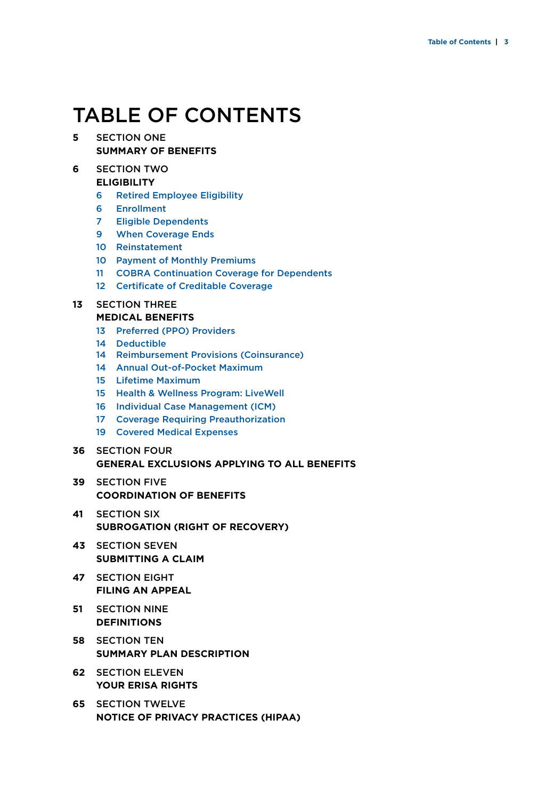### Table of Contents

#### **5** Section ONE **Summary of Benefits**

#### **6** Section TWO **Eligibility**

6 Retired Employee Eligibility

- 6 Enrollment
- 7 Eligible Dependents
- 9 When Coverage Ends
- 10 Reinstatement
- 10 Payment of Monthly Premiums
- 11 COBRA Continuation Coverage for Dependents
- 12 Certificate of Creditable Coverage

#### **13** Section THREE

#### **Medical Benefits**

- 13 Preferred (PPO) Providers
- 14 Deductible
- 14 Reimbursement Provisions (Coinsurance)
- 14 Annual Out-of-Pocket Maximum
- 15 Lifetime Maximum
- 15 Health & Wellness Program: LiveWell
- 16 Individual Case Management (ICM)
- 17 Coverage Requiring Preauthorization
- 19 Covered Medical Expenses
- **36** Section FOUR  **General Exclusions Applying to All Benefits**
- **39** Section FIVE **Coordination of Benefits**
- **41** Section SIX **Subrogation (Right of Recovery)**
- **43** Section SEVEN **Submitting a Claim**
- **47** Section EIGHT **Filing an Appeal**
- **51** Section NINE **Definitions**
- **58** Section TEN **Summary Plan Description**
- **62** Section ELEVEN  **Your ERISA Rights**
- **65** Section TWELVE **Notice of Privacy Practices (HIPAA)**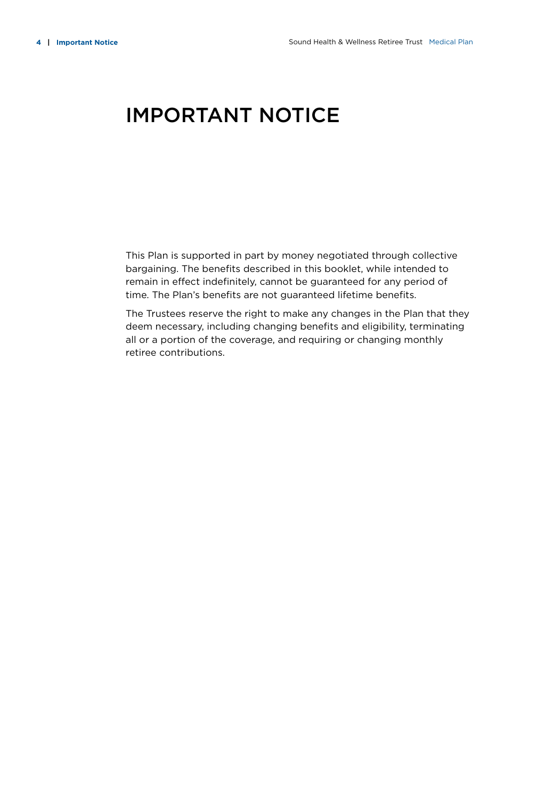### Important Notice

This Plan is supported in part by money negotiated through collective bargaining. The benefits described in this booklet, while intended to remain in effect indefinitely, cannot be guaranteed for any period of time. The Plan's benefits are not guaranteed lifetime benefits.

The Trustees reserve the right to make any changes in the Plan that they deem necessary, including changing benefits and eligibility, terminating all or a portion of the coverage, and requiring or changing monthly retiree contributions.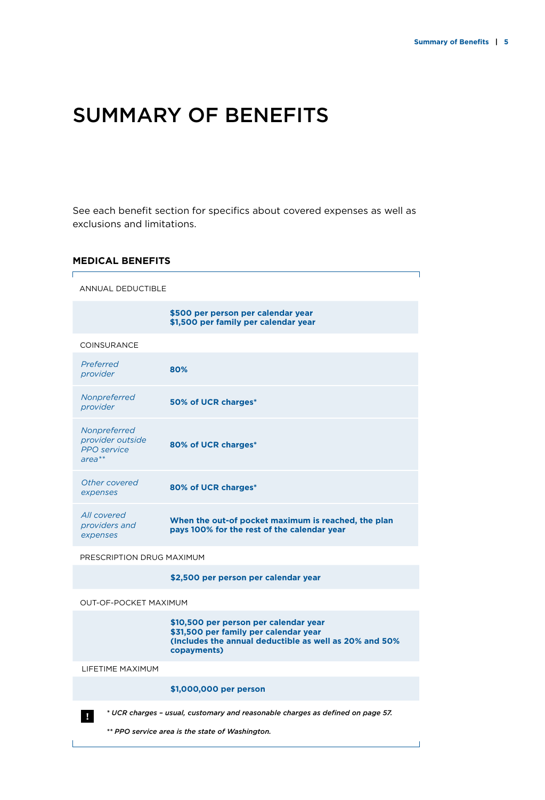### Summary of Benefits

See each benefit section for specifics about covered expenses as well as exclusions and limitations.

#### **Medical Benefits**

| <b>ANNUAL DEDUCTIBLE</b>                                           |                                                                                                    |
|--------------------------------------------------------------------|----------------------------------------------------------------------------------------------------|
|                                                                    | \$500 per person per calendar year<br>\$1,500 per family per calendar year                         |
| <b>COINSURANCE</b>                                                 |                                                                                                    |
| Preferred<br>provider                                              | 80%                                                                                                |
| Nonpreferred<br>provider                                           | 50% of UCR charges*                                                                                |
| Nonpreferred<br>provider outside<br><b>PPO</b> service<br>$area**$ | 80% of UCR charges*                                                                                |
| Other covered<br>expenses                                          | 80% of UCR charges*                                                                                |
| All covered<br>providers and<br>expenses                           | When the out-of pocket maximum is reached, the plan<br>pays 100% for the rest of the calendar year |
| PRESCRIPTION DRUG MAXIMUM                                          |                                                                                                    |
|                                                                    | \$2,500 per person per calendar year                                                               |
| OUT-OF-POCKET MAXIMUM                                              |                                                                                                    |
|                                                                    | \$10,500 per person per calendar year                                                              |

**\$31,500 per family per calendar year (Includes the annual deductible as well as 20% and 50% copayments)**

lifetime maximum

#### **\$1,000,000 per person**

*\* UCR charges – usual, customary and reasonable charges as defined on page 57.*

*\*\* PPO service area is the state of Washington.*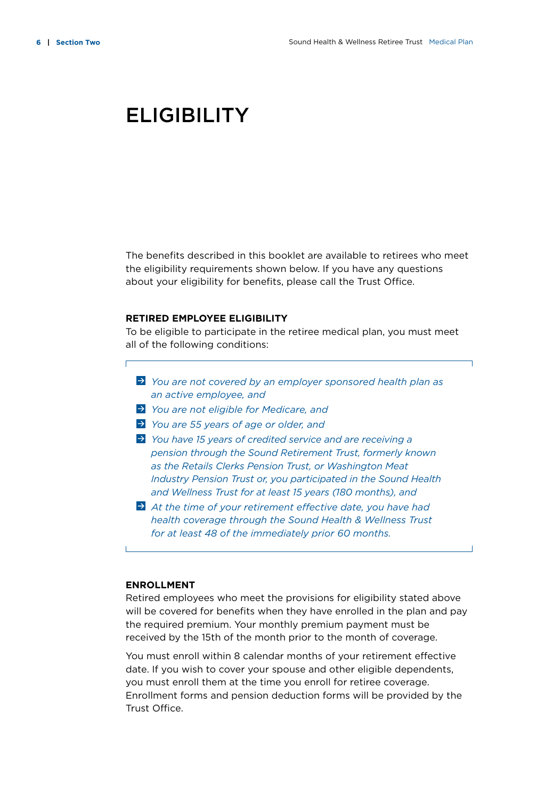### **ELIGIBILITY**

The benefits described in this booklet are available to retirees who meet the eligibility requirements shown below. If you have any questions about your eligibility for benefits, please call the Trust Office.

#### **Retired Employee Eligibility**

To be eligible to participate in the retiree medical plan, you must meet all of the following conditions:

- *You are not covered by an employer sponsored health plan as an active employee, and*
- *You are not eligible for Medicare, and*
- *You are 55 years of age or older, and*
- *You have 15 years of credited service and are receiving a pension through the Sound Retirement Trust, formerly known as the Retails Clerks Pension Trust, or Washington Meat Industry Pension Trust or, you participated in the Sound Health and Wellness Trust for at least 15 years (180 months), and*
- *At the time of your retirement effective date, you have had health coverage through the Sound Health & Wellness Trust for at least 48 of the immediately prior 60 months.*

#### **Enrollment**

Ē

Retired employees who meet the provisions for eligibility stated above will be covered for benefits when they have enrolled in the plan and pay the required premium. Your monthly premium payment must be received by the 15th of the month prior to the month of coverage.

You must enroll within 8 calendar months of your retirement effective date. If you wish to cover your spouse and other eligible dependents, you must enroll them at the time you enroll for retiree coverage. Enrollment forms and pension deduction forms will be provided by the Trust Office.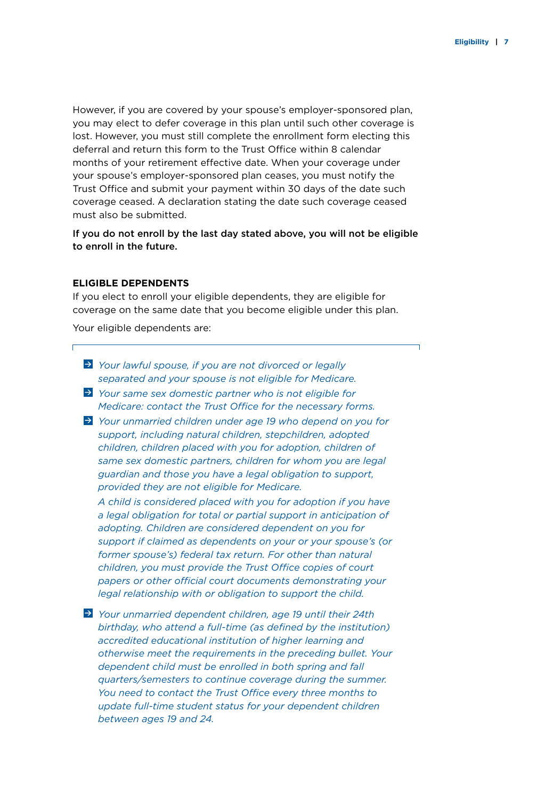However, if you are covered by your spouse's employer-sponsored plan, you may elect to defer coverage in this plan until such other coverage is lost. However, you must still complete the enrollment form electing this deferral and return this form to the Trust Office within 8 calendar months of your retirement effective date. When your coverage under your spouse's employer-sponsored plan ceases, you must notify the Trust Office and submit your payment within 30 days of the date such coverage ceased. A declaration stating the date such coverage ceased must also be submitted.

If you do not enroll by the last day stated above, you will not be eligible to enroll in the future.

#### **Eligible Dependents**

If you elect to enroll your eligible dependents, they are eligible for coverage on the same date that you become eligible under this plan.

Your eligible dependents are:

- *Your lawful spouse, if you are not divorced or legally separated and your spouse is not eligible for Medicare.*
- *Your same sex domestic partner who is not eligible for Medicare: contact the Trust Office for the necessary forms.*
- *Your unmarried children under age 19 who depend on you for support, including natural children, stepchildren, adopted children, children placed with you for adoption, children of same sex domestic partners, children for whom you are legal guardian and those you have a legal obligation to support, provided they are not eligible for Medicare.*

*A child is considered placed with you for adoption if you have a legal obligation for total or partial support in anticipation of adopting. Children are considered dependent on you for support if claimed as dependents on your or your spouse's (or former spouse's) federal tax return. For other than natural children, you must provide the Trust Office copies of court papers or other official court documents demonstrating your legal relationship with or obligation to support the child.*

 *Your unmarried dependent children, age 19 until their 24th birthday, who attend a full-time (as defined by the institution) accredited educational institution of higher learning and otherwise meet the requirements in the preceding bullet. Your dependent child must be enrolled in both spring and fall quarters/semesters to continue coverage during the summer. You need to contact the Trust Office every three months to update full-time student status for your dependent children between ages 19 and 24.*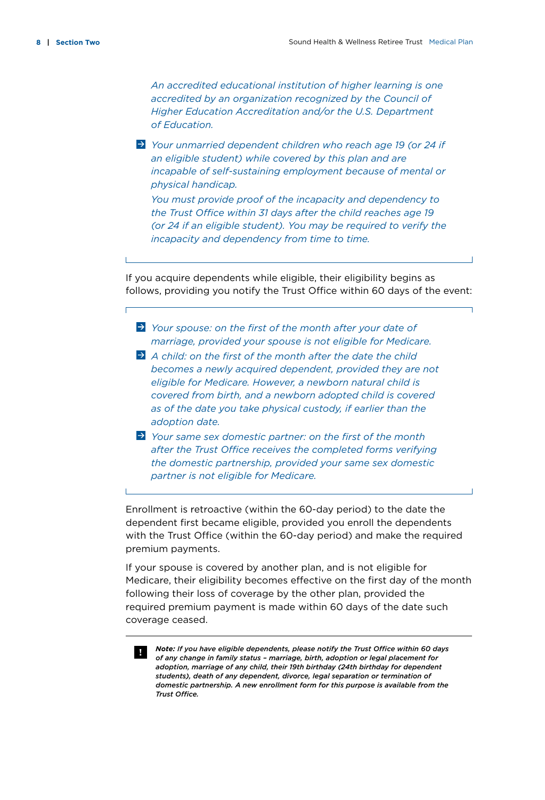*An accredited educational institution of higher learning is one accredited by an organization recognized by the Council of Higher Education Accreditation and/or the U.S. Department of Education.*

 *Your unmarried dependent children who reach age 19 (or 24 if an eligible student) while covered by this plan and are incapable of self-sustaining employment because of mental or physical handicap.*

*You must provide proof of the incapacity and dependency to the Trust Office within 31 days after the child reaches age 19 (or 24 if an eligible student). You may be required to verify the incapacity and dependency from time to time.*

If you acquire dependents while eligible, their eligibility begins as follows, providing you notify the Trust Office within 60 days of the event:

- *Your spouse: on the first of the month after your date of marriage, provided your spouse is not eligible for Medicare.*
- *A child: on the first of the month after the date the child becomes a newly acquired dependent, provided they are not eligible for Medicare. However, a newborn natural child is covered from birth, and a newborn adopted child is covered as of the date you take physical custody, if earlier than the adoption date.*
- *Your same sex domestic partner: on the first of the month after the Trust Office receives the completed forms verifying the domestic partnership, provided your same sex domestic partner is not eligible for Medicare.*

Enrollment is retroactive (within the 60-day period) to the date the dependent first became eligible, provided you enroll the dependents with the Trust Office (within the 60-day period) and make the required premium payments.

If your spouse is covered by another plan, and is not eligible for Medicare, their eligibility becomes effective on the first day of the month following their loss of coverage by the other plan, provided the required premium payment is made within 60 days of the date such coverage ceased.

*Note: If you have eligible dependents, please notify the Trust Office within 60 days*   $\mathbf{u}$ *of any change in family status – marriage, birth, adoption or legal placement for adoption, marriage of any child, their 19th birthday (24th birthday for dependent students), death of any dependent, divorce, legal separation or termination of domestic partnership. A new enrollment form for this purpose is available from the Trust Office.*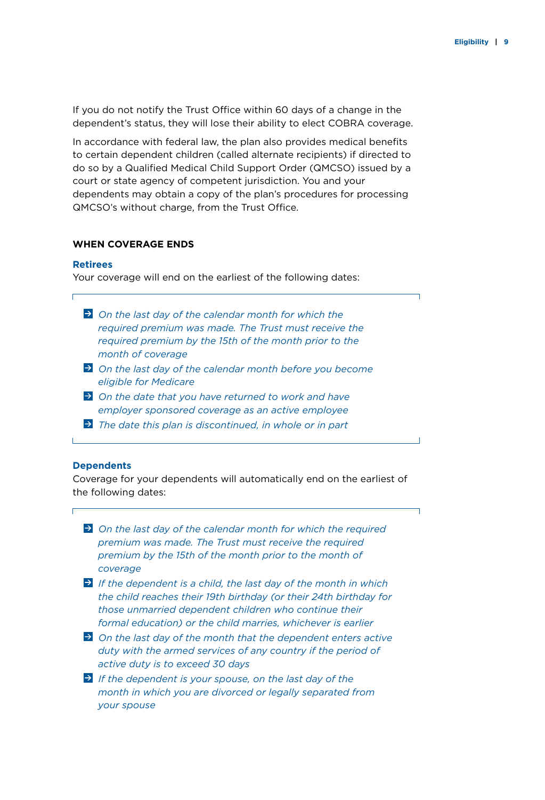If you do not notify the Trust Office within 60 days of a change in the dependent's status, they will lose their ability to elect COBRA coverage.

In accordance with federal law, the plan also provides medical benefits to certain dependent children (called alternate recipients) if directed to do so by a Qualified Medical Child Support Order (QMCSO) issued by a court or state agency of competent jurisdiction. You and your dependents may obtain a copy of the plan's procedures for processing QMCSO's without charge, from the Trust Office.

#### **When Coverage Ends**

#### **Retirees**

Your coverage will end on the earliest of the following dates:

- *On the last day of the calendar month for which the required premium was made. The Trust must receive the required premium by the 15th of the month prior to the month of coverage*
- *On the last day of the calendar month before you become eligible for Medicare*
- *On the date that you have returned to work and have employer sponsored coverage as an active employee*
- *The date this plan is discontinued, in whole or in part*

#### **Dependents**

Coverage for your dependents will automatically end on the earliest of the following dates:

- *On the last day of the calendar month for which the required premium was made. The Trust must receive the required premium by the 15th of the month prior to the month of coverage*
- *If the dependent is a child, the last day of the month in which the child reaches their 19th birthday (or their 24th birthday for those unmarried dependent children who continue their formal education) or the child marries, whichever is earlier*
- *On the last day of the month that the dependent enters active duty with the armed services of any country if the period of active duty is to exceed 30 days*
- *If the dependent is your spouse, on the last day of the month in which you are divorced or legally separated from your spouse*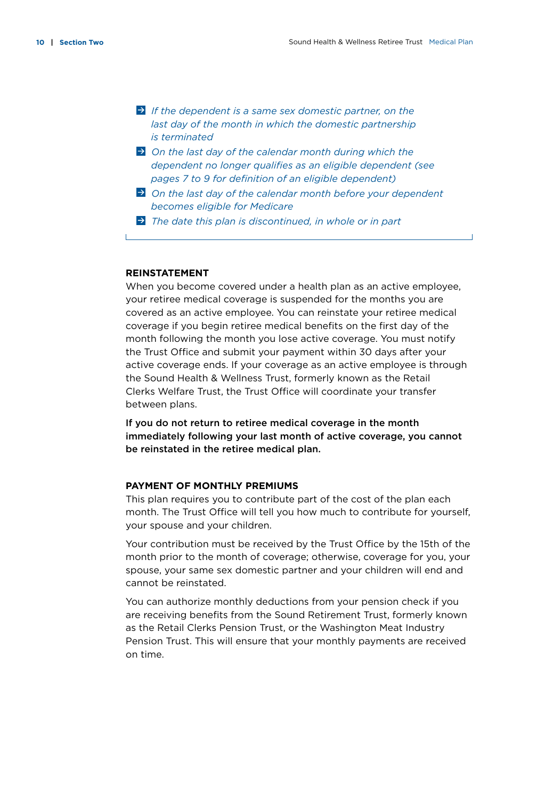- *If the dependent is a same sex domestic partner, on the last day of the month in which the domestic partnership is terminated*
- *On the last day of the calendar month during which the dependent no longer qualifies as an eligible dependent (see pages 7 to 9 for definition of an eligible dependent)*
- *On the last day of the calendar month before your dependent becomes eligible for Medicare*
- *The date this plan is discontinued, in whole or in part*

#### **Reinstatement**

When you become covered under a health plan as an active employee, your retiree medical coverage is suspended for the months you are covered as an active employee. You can reinstate your retiree medical coverage if you begin retiree medical benefits on the first day of the month following the month you lose active coverage. You must notify the Trust Office and submit your payment within 30 days after your active coverage ends. If your coverage as an active employee is through the Sound Health & Wellness Trust, formerly known as the Retail Clerks Welfare Trust, the Trust Office will coordinate your transfer between plans.

If you do not return to retiree medical coverage in the month immediately following your last month of active coverage, you cannot be reinstated in the retiree medical plan.

#### **Payment of Monthly Premiums**

This plan requires you to contribute part of the cost of the plan each month. The Trust Office will tell you how much to contribute for yourself, your spouse and your children.

Your contribution must be received by the Trust Office by the 15th of the month prior to the month of coverage; otherwise, coverage for you, your spouse, your same sex domestic partner and your children will end and cannot be reinstated.

You can authorize monthly deductions from your pension check if you are receiving benefits from the Sound Retirement Trust, formerly known as the Retail Clerks Pension Trust, or the Washington Meat Industry Pension Trust. This will ensure that your monthly payments are received on time.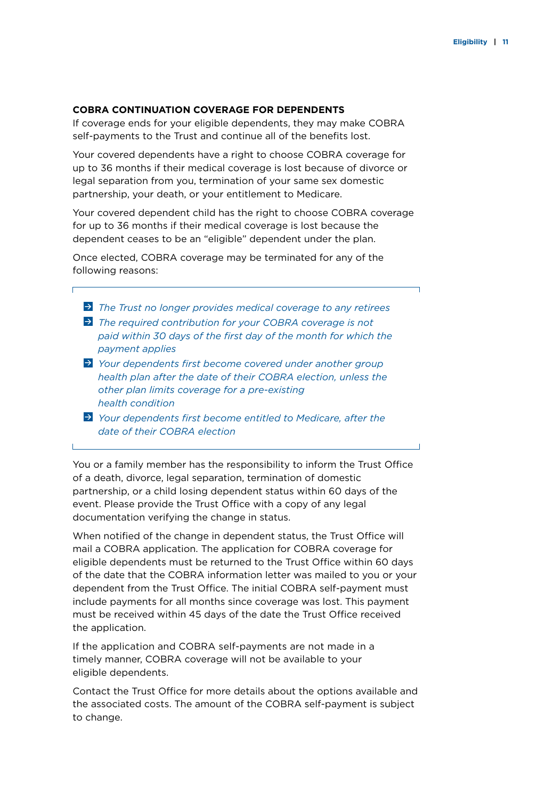#### **COBRA Continuation Coverage for Dependents**

If coverage ends for your eligible dependents, they may make COBRA self-payments to the Trust and continue all of the benefits lost.

Your covered dependents have a right to choose COBRA coverage for up to 36 months if their medical coverage is lost because of divorce or legal separation from you, termination of your same sex domestic partnership, your death, or your entitlement to Medicare.

Your covered dependent child has the right to choose COBRA coverage for up to 36 months if their medical coverage is lost because the dependent ceases to be an "eligible" dependent under the plan.

Once elected, COBRA coverage may be terminated for any of the following reasons:

- *The Trust no longer provides medical coverage to any retirees The required contribution for your COBRA coverage is not paid within 30 days of the first day of the month for which the payment applies*
- *Your dependents first become covered under another group health plan after the date of their COBRA election, unless the other plan limits coverage for a pre-existing health condition*
- *Your dependents first become entitled to Medicare, after the date of their COBRA election*

You or a family member has the responsibility to inform the Trust Office of a death, divorce, legal separation, termination of domestic partnership, or a child losing dependent status within 60 days of the event. Please provide the Trust Office with a copy of any legal documentation verifying the change in status.

When notified of the change in dependent status, the Trust Office will mail a COBRA application. The application for COBRA coverage for eligible dependents must be returned to the Trust Office within 60 days of the date that the COBRA information letter was mailed to you or your dependent from the Trust Office. The initial COBRA self-payment must include payments for all months since coverage was lost. This payment must be received within 45 days of the date the Trust Office received the application.

If the application and COBRA self-payments are not made in a timely manner, COBRA coverage will not be available to your eligible dependents.

Contact the Trust Office for more details about the options available and the associated costs. The amount of the COBRA self-payment is subject to change.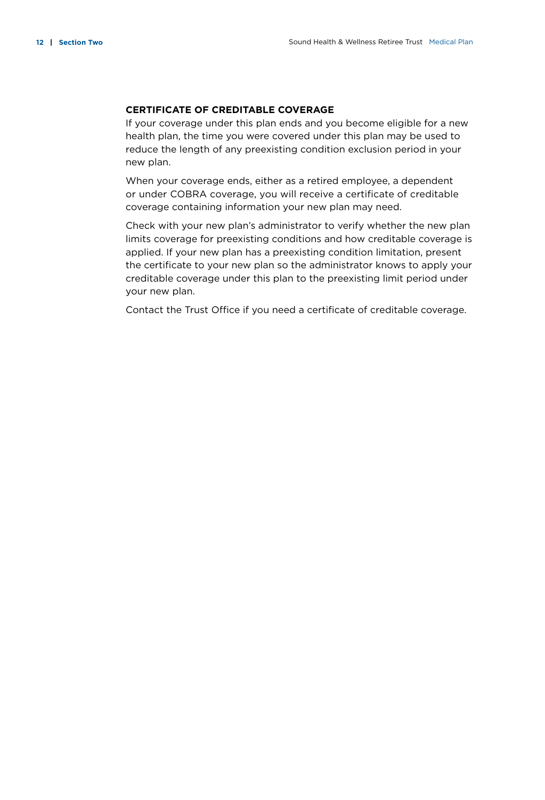#### **Certificate of Creditable Coverage**

If your coverage under this plan ends and you become eligible for a new health plan, the time you were covered under this plan may be used to reduce the length of any preexisting condition exclusion period in your new plan.

When your coverage ends, either as a retired employee, a dependent or under COBRA coverage, you will receive a certificate of creditable coverage containing information your new plan may need.

Check with your new plan's administrator to verify whether the new plan limits coverage for preexisting conditions and how creditable coverage is applied. If your new plan has a preexisting condition limitation, present the certificate to your new plan so the administrator knows to apply your creditable coverage under this plan to the preexisting limit period under your new plan.

Contact the Trust Office if you need a certificate of creditable coverage.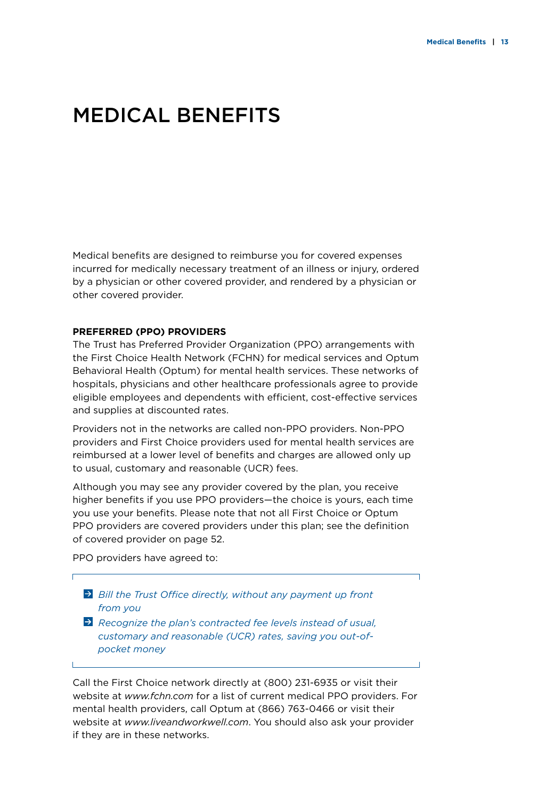### Medical Benefits

Medical benefits are designed to reimburse you for covered expenses incurred for medically necessary treatment of an illness or injury, ordered by a physician or other covered provider, and rendered by a physician or other covered provider.

#### **Preferred (PPO) Providers**

The Trust has Preferred Provider Organization (PPO) arrangements with the First Choice Health Network (FCHN) for medical services and Optum Behavioral Health (Optum) for mental health services. These networks of hospitals, physicians and other healthcare professionals agree to provide eligible employees and dependents with efficient, cost-effective services and supplies at discounted rates.

Providers not in the networks are called non-PPO providers. Non-PPO providers and First Choice providers used for mental health services are reimbursed at a lower level of benefits and charges are allowed only up to usual, customary and reasonable (UCR) fees.

Although you may see any provider covered by the plan, you receive higher benefits if you use PPO providers—the choice is yours, each time you use your benefits. Please note that not all First Choice or Optum PPO providers are covered providers under this plan; see the definition of covered provider on page 52.

PPO providers have agreed to:

- *Bill the Trust Office directly, without any payment up front from you*
- *Recognize the plan's contracted fee levels instead of usual, customary and reasonable (UCR) rates, saving you out-ofpocket money*

Call the First Choice network directly at (800) 231-6935 or visit their website at *www.fchn.com* for a list of current medical PPO providers. For mental health providers, call Optum at (866) 763-0466 or visit their website at *www.liveandworkwell.com*. You should also ask your provider if they are in these networks.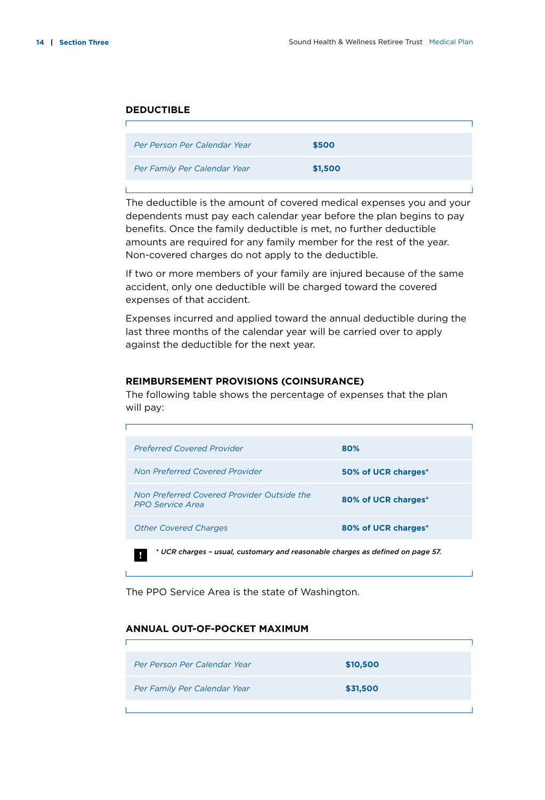#### **Deductible**

| Per Person Per Calendar Year | \$500   |
|------------------------------|---------|
| Per Family Per Calendar Year | \$1,500 |

The deductible is the amount of covered medical expenses you and your dependents must pay each calendar year before the plan begins to pay benefits. Once the family deductible is met, no further deductible amounts are required for any family member for the rest of the year. Non-covered charges do not apply to the deductible.

If two or more members of your family are injured because of the same accident, only one deductible will be charged toward the covered expenses of that accident.

Expenses incurred and applied toward the annual deductible during the last three months of the calendar year will be carried over to apply against the deductible for the next year.

#### **Reimbursement Provisions (Coinsurance)**

The following table shows the percentage of expenses that the plan will pay:

| <b>Preferred Covered Provider</b>                                              | 80%                 |
|--------------------------------------------------------------------------------|---------------------|
| Non Preferred Covered Provider                                                 | 50% of UCR charges* |
| Non Preferred Covered Provider Outside the<br><b>PPO Service Area</b>          | 80% of UCR charges* |
| <b>Other Covered Charges</b>                                                   | 80% of UCR charges* |
| * UCR charges - usual, customary and reasonable charges as defined on page 57. |                     |

The PPO Service Area is the state of Washington.

#### **Annual Out-of-Pocket Maximum**

Ē

| Per Person Per Calendar Year | \$10,500 |
|------------------------------|----------|
| Per Family Per Calendar Year | \$31,500 |
|                              |          |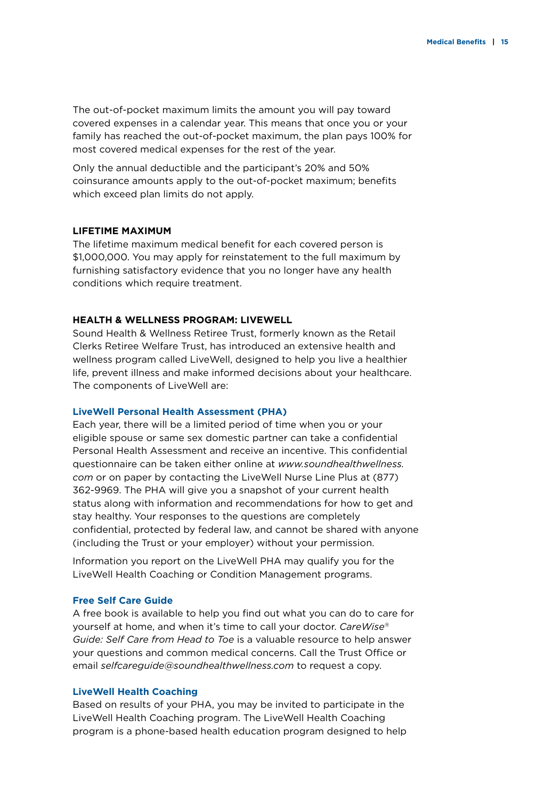The out-of-pocket maximum limits the amount you will pay toward covered expenses in a calendar year. This means that once you or your family has reached the out-of-pocket maximum, the plan pays 100% for most covered medical expenses for the rest of the year.

Only the annual deductible and the participant's 20% and 50% coinsurance amounts apply to the out-of-pocket maximum; benefits which exceed plan limits do not apply.

#### **Lifetime Maximum**

The lifetime maximum medical benefit for each covered person is \$1,000,000. You may apply for reinstatement to the full maximum by furnishing satisfactory evidence that you no longer have any health conditions which require treatment.

#### **Health & Wellness Program: LiveWell**

Sound Health & Wellness Retiree Trust, formerly known as the Retail Clerks Retiree Welfare Trust, has introduced an extensive health and wellness program called LiveWell, designed to help you live a healthier life, prevent illness and make informed decisions about your healthcare. The components of LiveWell are:

#### **LiveWell Personal Health Assessment (PHA)**

Each year, there will be a limited period of time when you or your eligible spouse or same sex domestic partner can take a confidential Personal Health Assessment and receive an incentive. This confidential questionnaire can be taken either online at *www.soundhealthwellness. com* or on paper by contacting the LiveWell Nurse Line Plus at (877) 362-9969. The PHA will give you a snapshot of your current health status along with information and recommendations for how to get and stay healthy. Your responses to the questions are completely confidential, protected by federal law, and cannot be shared with anyone (including the Trust or your employer) without your permission.

Information you report on the LiveWell PHA may qualify you for the LiveWell Health Coaching or Condition Management programs.

#### **Free Self Care Guide**

A free book is available to help you find out what you can do to care for yourself at home, and when it's time to call your doctor. *CareWise® Guide: Self Care from Head to Toe* is a valuable resource to help answer your questions and common medical concerns. Call the Trust Office or email *selfcareguide@soundhealthwellness.com* to request a copy.

#### **LiveWell Health Coaching**

Based on results of your PHA, you may be invited to participate in the LiveWell Health Coaching program. The LiveWell Health Coaching program is a phone-based health education program designed to help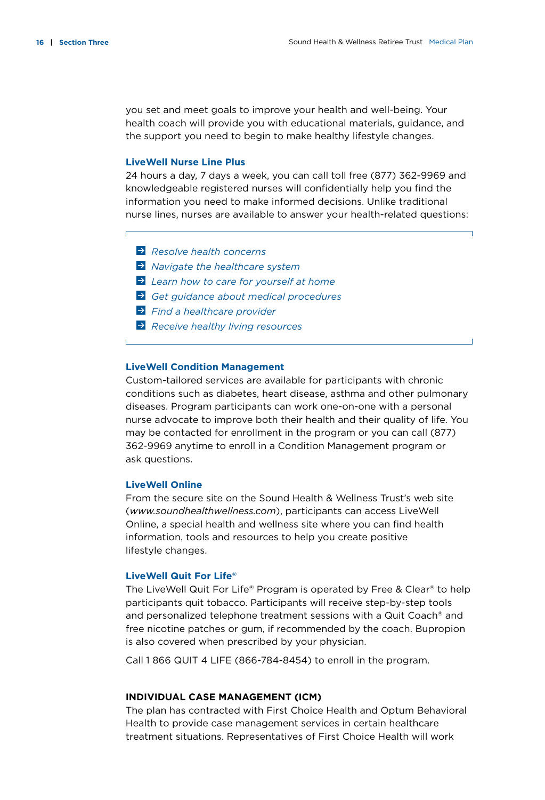you set and meet goals to improve your health and well-being. Your health coach will provide you with educational materials, guidance, and the support you need to begin to make healthy lifestyle changes.

#### **LiveWell Nurse Line Plus**

24 hours a day, 7 days a week, you can call toll free (877) 362-9969 and knowledgeable registered nurses will confidentially help you find the information you need to make informed decisions. Unlike traditional nurse lines, nurses are available to answer your health-related questions:

- *Resolve health concerns*
- *Navigate the healthcare system*
- *Learn how to care for yourself at home*
- *Get guidance about medical procedures*
- *Find a healthcare provider*
- *Receive healthy living resources*

#### **LiveWell Condition Management**

Custom-tailored services are available for participants with chronic conditions such as diabetes, heart disease, asthma and other pulmonary diseases. Program participants can work one-on-one with a personal nurse advocate to improve both their health and their quality of life. You may be contacted for enrollment in the program or you can call (877) 362-9969 anytime to enroll in a Condition Management program or ask questions.

#### **LiveWell Online**

From the secure site on the Sound Health & Wellness Trust's web site (*www.soundhealthwellness.com*), participants can access LiveWell Online, a special health and wellness site where you can find health information, tools and resources to help you create positive lifestyle changes.

#### **LiveWell Quit For Life®**

The LiveWell Quit For Life® Program is operated by Free & Clear® to help participants quit tobacco. Participants will receive step-by-step tools and personalized telephone treatment sessions with a Quit Coach® and free nicotine patches or gum, if recommended by the coach. Bupropion is also covered when prescribed by your physician.

Call 1 866 QUIT 4 LIFE (866-784-8454) to enroll in the program.

#### **Individual Case Management (ICM)**

The plan has contracted with First Choice Health and Optum Behavioral Health to provide case management services in certain healthcare treatment situations. Representatives of First Choice Health will work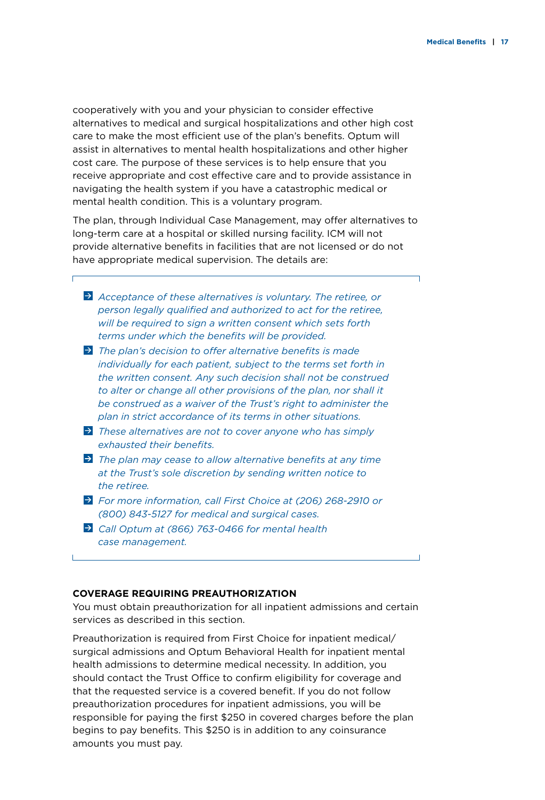cooperatively with you and your physician to consider effective alternatives to medical and surgical hospitalizations and other high cost care to make the most efficient use of the plan's benefits. Optum will assist in alternatives to mental health hospitalizations and other higher cost care. The purpose of these services is to help ensure that you receive appropriate and cost effective care and to provide assistance in navigating the health system if you have a catastrophic medical or mental health condition. This is a voluntary program.

The plan, through Individual Case Management, may offer alternatives to long-term care at a hospital or skilled nursing facility. ICM will not provide alternative benefits in facilities that are not licensed or do not have appropriate medical supervision. The details are:

- *Acceptance of these alternatives is voluntary. The retiree, or person legally qualified and authorized to act for the retiree, will be required to sign a written consent which sets forth terms under which the benefits will be provided.*
- *The plan's decision to offer alternative benefits is made individually for each patient, subject to the terms set forth in the written consent. Any such decision shall not be construed to alter or change all other provisions of the plan, nor shall it be construed as a waiver of the Trust's right to administer the plan in strict accordance of its terms in other situations.*
- *These alternatives are not to cover anyone who has simply exhausted their benefits.*
- *The plan may cease to allow alternative benefits at any time at the Trust's sole discretion by sending written notice to the retiree.*
- *For more information, call First Choice at (206) 268-2910 or (800) 843-5127 for medical and surgical cases.*
- *Call Optum at (866) 763-0466 for mental health case management.*

#### **Coverage Requiring Preauthorization**

You must obtain preauthorization for all inpatient admissions and certain services as described in this section.

Preauthorization is required from First Choice for inpatient medical/ surgical admissions and Optum Behavioral Health for inpatient mental health admissions to determine medical necessity. In addition, you should contact the Trust Office to confirm eligibility for coverage and that the requested service is a covered benefit. If you do not follow preauthorization procedures for inpatient admissions, you will be responsible for paying the first \$250 in covered charges before the plan begins to pay benefits. This \$250 is in addition to any coinsurance amounts you must pay.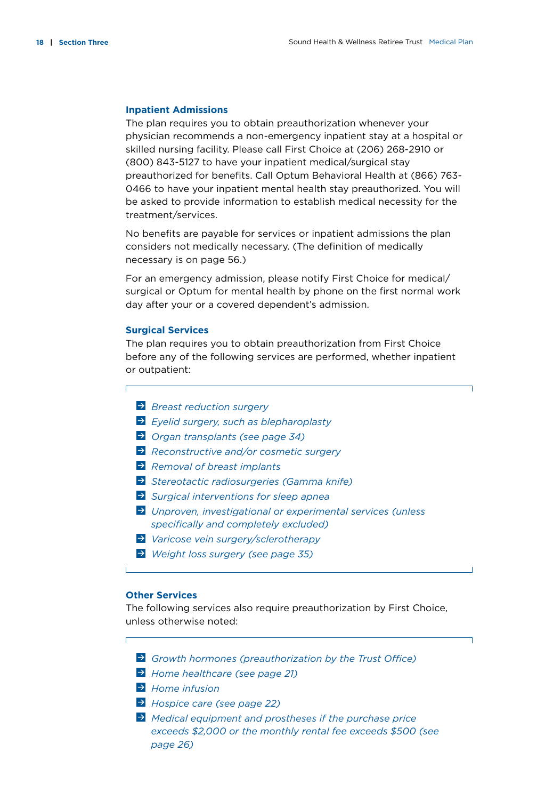#### **Inpatient Admissions**

The plan requires you to obtain preauthorization whenever your physician recommends a non-emergency inpatient stay at a hospital or skilled nursing facility. Please call First Choice at (206) 268-2910 or (800) 843-5127 to have your inpatient medical/surgical stay preauthorized for benefits. Call Optum Behavioral Health at (866) 763- 0466 to have your inpatient mental health stay preauthorized. You will be asked to provide information to establish medical necessity for the treatment/services.

No benefits are payable for services or inpatient admissions the plan considers not medically necessary. (The definition of medically necessary is on page 56.)

For an emergency admission, please notify First Choice for medical/ surgical or Optum for mental health by phone on the first normal work day after your or a covered dependent's admission.

#### **Surgical Services**

Ē

The plan requires you to obtain preauthorization from First Choice before any of the following services are performed, whether inpatient or outpatient:

- *Breast reduction surgery*
- *Eyelid surgery, such as blepharoplasty*
- *Organ transplants (see page 34)*
- *Reconstructive and/or cosmetic surgery*
- *Removal of breast implants*
- *Stereotactic radiosurgeries (Gamma knife)*
- *Surgical interventions for sleep apnea*
- *Unproven, investigational or experimental services (unless specifically and completely excluded)*
- *Varicose vein surgery/sclerotherapy*
- *Weight loss surgery (see page 35)*

#### **Other Services**

The following services also require preauthorization by First Choice, unless otherwise noted:

- *Growth hormones (preauthorization by the Trust Office)*
- *Home healthcare (see page 21)*
- *Home infusion*
- *Hospice care (see page 22)*
- *Medical equipment and prostheses if the purchase price exceeds \$2,000 or the monthly rental fee exceeds \$500 (see page 26)*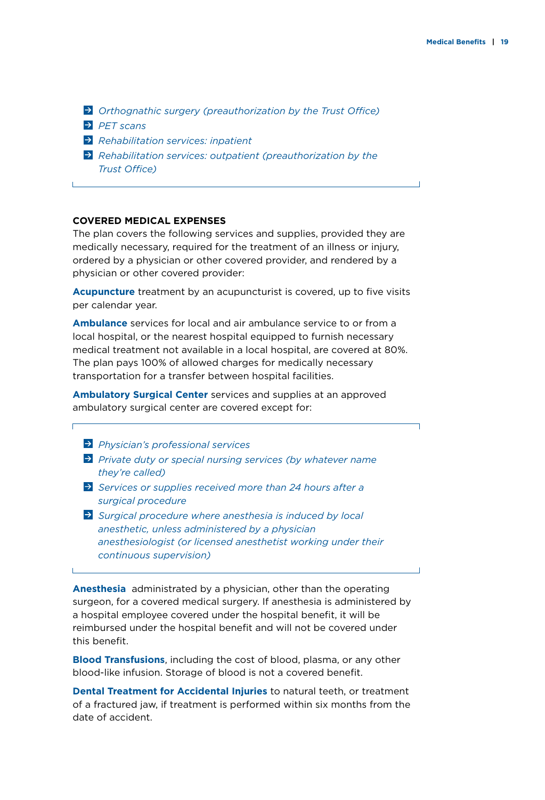- *Orthognathic surgery (preauthorization by the Trust Office)*
- *PET scans*
- *Rehabilitation services: inpatient*

 *Rehabilitation services: outpatient (preauthorization by the Trust Office)*

#### **Covered Medical Expenses**

The plan covers the following services and supplies, provided they are medically necessary, required for the treatment of an illness or injury, ordered by a physician or other covered provider, and rendered by a physician or other covered provider:

**Acupuncture** treatment by an acupuncturist is covered, up to five visits per calendar year.

**Ambulance** services for local and air ambulance service to or from a local hospital, or the nearest hospital equipped to furnish necessary medical treatment not available in a local hospital, are covered at 80%. The plan pays 100% of allowed charges for medically necessary transportation for a transfer between hospital facilities.

**Ambulatory Surgical Center** services and supplies at an approved ambulatory surgical center are covered except for:

- *Physician's professional services*
- *Private duty or special nursing services (by whatever name they're called)*
- *Services or supplies received more than 24 hours after a surgical procedure*
- *Surgical procedure where anesthesia is induced by local anesthetic, unless administered by a physician anesthesiologist (or licensed anesthetist working under their continuous supervision)*

**Anesthesia** administrated by a physician, other than the operating surgeon, for a covered medical surgery. If anesthesia is administered by a hospital employee covered under the hospital benefit, it will be reimbursed under the hospital benefit and will not be covered under this benefit.

**Blood Transfusions**, including the cost of blood, plasma, or any other blood-like infusion. Storage of blood is not a covered benefit.

**Dental Treatment for Accidental Injuries** to natural teeth, or treatment of a fractured jaw, if treatment is performed within six months from the date of accident.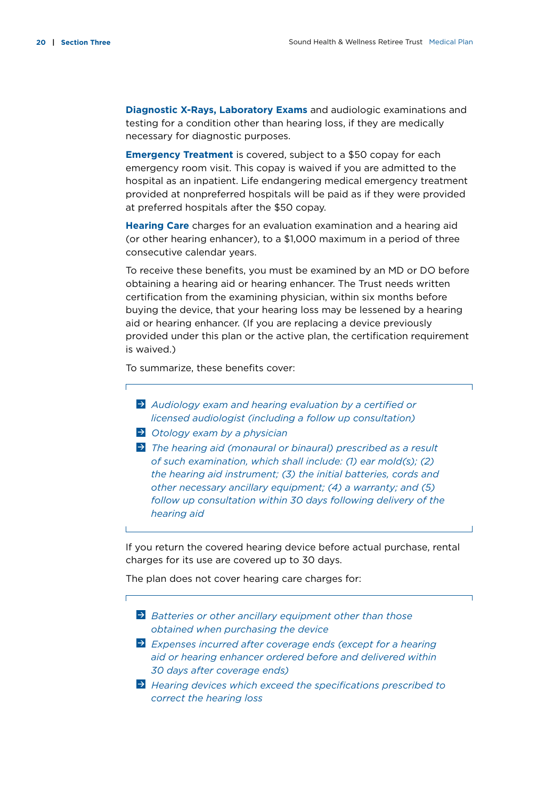**Diagnostic X-Rays, Laboratory Exams** and audiologic examinations and testing for a condition other than hearing loss, if they are medically necessary for diagnostic purposes.

**Emergency Treatment** is covered, subject to a \$50 copay for each emergency room visit. This copay is waived if you are admitted to the hospital as an inpatient. Life endangering medical emergency treatment provided at nonpreferred hospitals will be paid as if they were provided at preferred hospitals after the \$50 copay.

**Hearing Care** charges for an evaluation examination and a hearing aid (or other hearing enhancer), to a \$1,000 maximum in a period of three consecutive calendar years.

To receive these benefits, you must be examined by an MD or DO before obtaining a hearing aid or hearing enhancer. The Trust needs written certification from the examining physician, within six months before buying the device, that your hearing loss may be lessened by a hearing aid or hearing enhancer. (If you are replacing a device previously provided under this plan or the active plan, the certification requirement is waived.)

To summarize, these benefits cover:

- *Audiology exam and hearing evaluation by a certified or licensed audiologist (including a follow up consultation)*
- *Otology exam by a physician*
- *The hearing aid (monaural or binaural) prescribed as a result of such examination, which shall include: (1) ear mold(s); (2) the hearing aid instrument; (3) the initial batteries, cords and other necessary ancillary equipment; (4) a warranty; and (5) follow up consultation within 30 days following delivery of the hearing aid*

If you return the covered hearing device before actual purchase, rental charges for its use are covered up to 30 days.

The plan does not cover hearing care charges for:

- *Batteries or other ancillary equipment other than those obtained when purchasing the device*
- *Expenses incurred after coverage ends (except for a hearing aid or hearing enhancer ordered before and delivered within 30 days after coverage ends)*
- *Hearing devices which exceed the specifications prescribed to correct the hearing loss*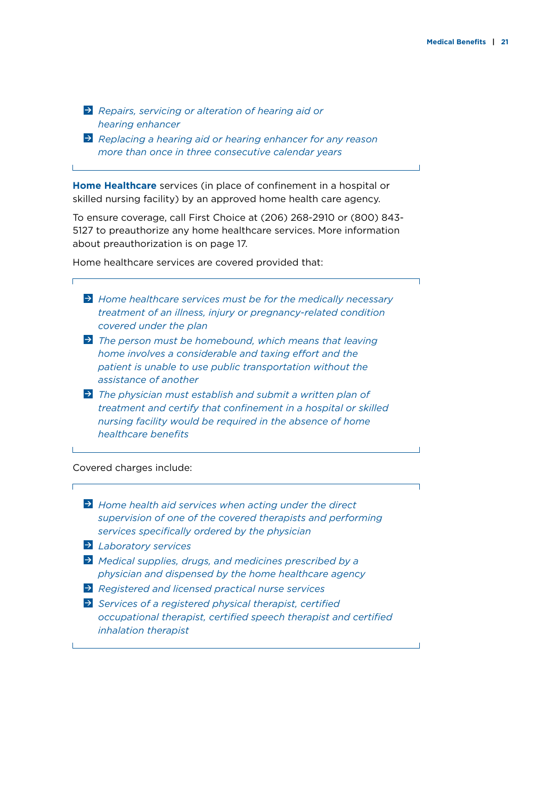*Repairs, servicing or alteration of hearing aid or hearing enhancer*

 *Replacing a hearing aid or hearing enhancer for any reason more than once in three consecutive calendar years*

**Home Healthcare** services (in place of confinement in a hospital or skilled nursing facility) by an approved home health care agency.

To ensure coverage, call First Choice at (206) 268-2910 or (800) 843- 5127 to preauthorize any home healthcare services. More information about preauthorization is on page 17.

Home healthcare services are covered provided that:

- *Home healthcare services must be for the medically necessary treatment of an illness, injury or pregnancy-related condition covered under the plan*
- *The person must be homebound, which means that leaving home involves a considerable and taxing effort and the patient is unable to use public transportation without the assistance of another*
- *The physician must establish and submit a written plan of treatment and certify that confinement in a hospital or skilled nursing facility would be required in the absence of home healthcare benefits*

Covered charges include:

 *Home health aid services when acting under the direct supervision of one of the covered therapists and performing services specifically ordered by the physician Laboratory services Medical supplies, drugs, and medicines prescribed by a physician and dispensed by the home healthcare agency Registered and licensed practical nurse services Services of a registered physical therapist, certified occupational therapist, certified speech therapist and certified inhalation therapist*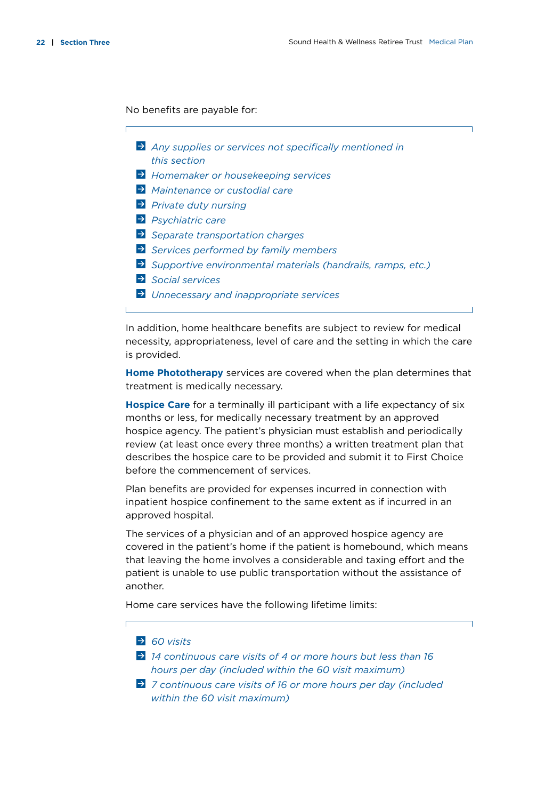No benefits are payable for:

- *Any supplies or services not specifically mentioned in this section*
- *Homemaker or housekeeping services*
- *Maintenance or custodial care*
- *Private duty nursing*
- *Psychiatric care*
- *Separate transportation charges*
- *Services performed by family members*
- *Supportive environmental materials (handrails, ramps, etc.)*
- *Social services*
- *Unnecessary and inappropriate services*

In addition, home healthcare benefits are subject to review for medical necessity, appropriateness, level of care and the setting in which the care is provided.

**Home Phototherapy** services are covered when the plan determines that treatment is medically necessary.

**Hospice Care** for a terminally ill participant with a life expectancy of six months or less, for medically necessary treatment by an approved hospice agency. The patient's physician must establish and periodically review (at least once every three months) a written treatment plan that describes the hospice care to be provided and submit it to First Choice before the commencement of services.

Plan benefits are provided for expenses incurred in connection with inpatient hospice confinement to the same extent as if incurred in an approved hospital.

The services of a physician and of an approved hospice agency are covered in the patient's home if the patient is homebound, which means that leaving the home involves a considerable and taxing effort and the patient is unable to use public transportation without the assistance of another.

Home care services have the following lifetime limits:

 *60 visits*

Ē

- *14 continuous care visits of 4 or more hours but less than 16 hours per day (included within the 60 visit maximum)*
- *7 continuous care visits of 16 or more hours per day (included within the 60 visit maximum)*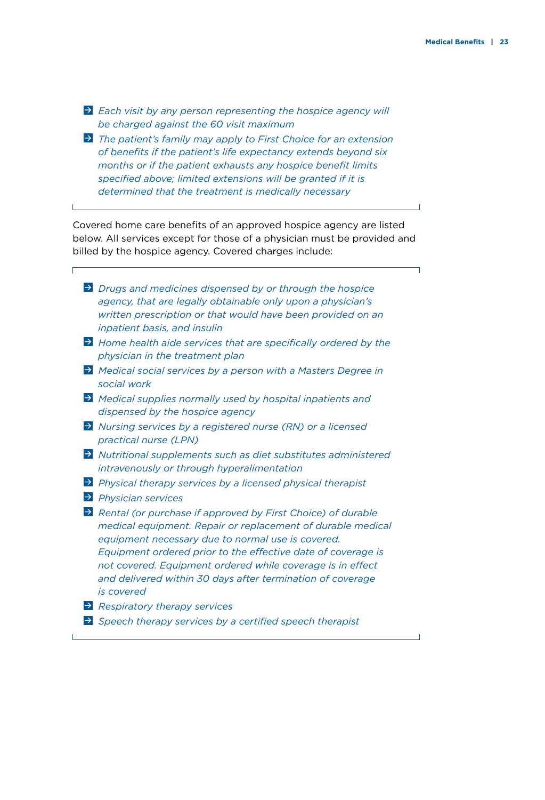$\overline{\phantom{a}}$ 

 *Each visit by any person representing the hospice agency will be charged against the 60 visit maximum*

 *The patient's family may apply to First Choice for an extension of benefits if the patient's life expectancy extends beyond six months or if the patient exhausts any hospice benefit limits specified above; limited extensions will be granted if it is determined that the treatment is medically necessary*

L.

 $\Gamma$ 

Covered home care benefits of an approved hospice agency are listed below. All services except for those of a physician must be provided and billed by the hospice agency. Covered charges include:

| $\rightarrow$ | Drugs and medicines dispensed by or through the hospice<br>agency, that are legally obtainable only upon a physician's<br>written prescription or that would have been provided on an<br><i>inpatient basis, and insulin</i>                                                                                                                                                              |
|---------------|-------------------------------------------------------------------------------------------------------------------------------------------------------------------------------------------------------------------------------------------------------------------------------------------------------------------------------------------------------------------------------------------|
|               | $\geq$ Home health aide services that are specifically ordered by the<br>physician in the treatment plan                                                                                                                                                                                                                                                                                  |
| $\rightarrow$ | Medical social services by a person with a Masters Degree in<br>social work                                                                                                                                                                                                                                                                                                               |
| $\rightarrow$ | Medical supplies normally used by hospital inpatients and<br>dispensed by the hospice agency                                                                                                                                                                                                                                                                                              |
|               | $\Rightarrow$ Nursing services by a registered nurse (RN) or a licensed<br>practical nurse (LPN)                                                                                                                                                                                                                                                                                          |
|               | $\geq$ Nutritional supplements such as diet substitutes administered<br>intravenously or through hyperalimentation                                                                                                                                                                                                                                                                        |
| $\rightarrow$ | Physical therapy services by a licensed physical therapist                                                                                                                                                                                                                                                                                                                                |
| $\rightarrow$ | <b>Physician services</b>                                                                                                                                                                                                                                                                                                                                                                 |
| $\rightarrow$ | Rental (or purchase if approved by First Choice) of durable<br>medical equipment. Repair or replacement of durable medical<br>equipment necessary due to normal use is covered.<br>Equipment ordered prior to the effective date of coverage is<br>not covered. Equipment ordered while coverage is in effect<br>and delivered within 30 days after termination of coverage<br>is covered |
|               | $\Rightarrow$ Respiratory therapy services                                                                                                                                                                                                                                                                                                                                                |
| $\rightarrow$ | Speech therapy services by a certified speech therapist                                                                                                                                                                                                                                                                                                                                   |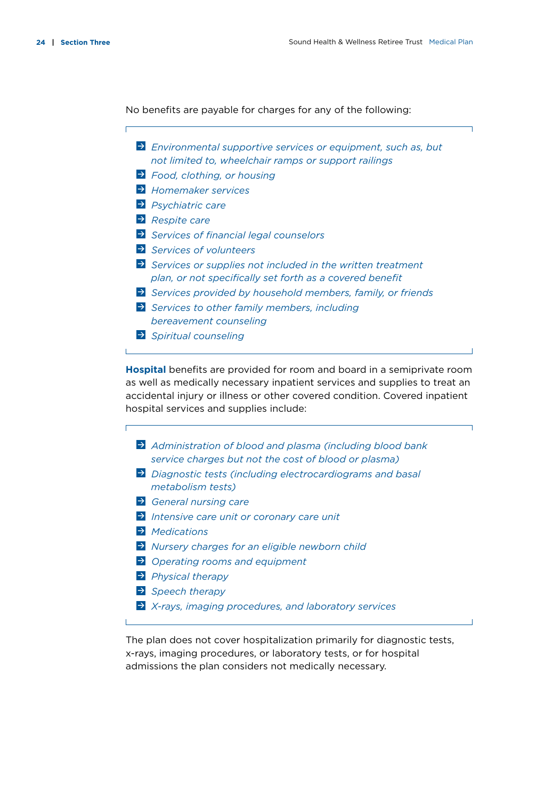No benefits are payable for charges for any of the following:

- *Environmental supportive services or equipment, such as, but not limited to, wheelchair ramps or support railings*
- *Food, clothing, or housing*
- *Homemaker services*
- *Psychiatric care*
- *Respite care*
- *Services of financial legal counselors*
- *Services of volunteers*
- *Services or supplies not included in the written treatment plan, or not specifically set forth as a covered benefit*
- *Services provided by household members, family, or friends*
- *Services to other family members, including bereavement counseling*
- *Spiritual counseling*

h

**Hospital** benefits are provided for room and board in a semiprivate room as well as medically necessary inpatient services and supplies to treat an accidental injury or illness or other covered condition. Covered inpatient hospital services and supplies include:

| $\rightarrow$ Administration of blood and plasma (including blood bank<br>service charges but not the cost of blood or plasma) |
|--------------------------------------------------------------------------------------------------------------------------------|
| $\Rightarrow$ Diagnostic tests (including electrocardiograms and basal                                                         |
| metabolism tests)                                                                                                              |
| $\rightarrow$ General nursing care                                                                                             |
| $\Rightarrow$ Intensive care unit or coronary care unit                                                                        |
| $\rightarrow$ Medications                                                                                                      |
| $\Rightarrow$ Nursery charges for an eligible newborn child                                                                    |
| $\rightarrow$ Operating rooms and equipment                                                                                    |
|                                                                                                                                |

- *Physical therapy*
- *Speech therapy*
- *X-rays, imaging procedures, and laboratory services*

The plan does not cover hospitalization primarily for diagnostic tests, x-rays, imaging procedures, or laboratory tests, or for hospital admissions the plan considers not medically necessary.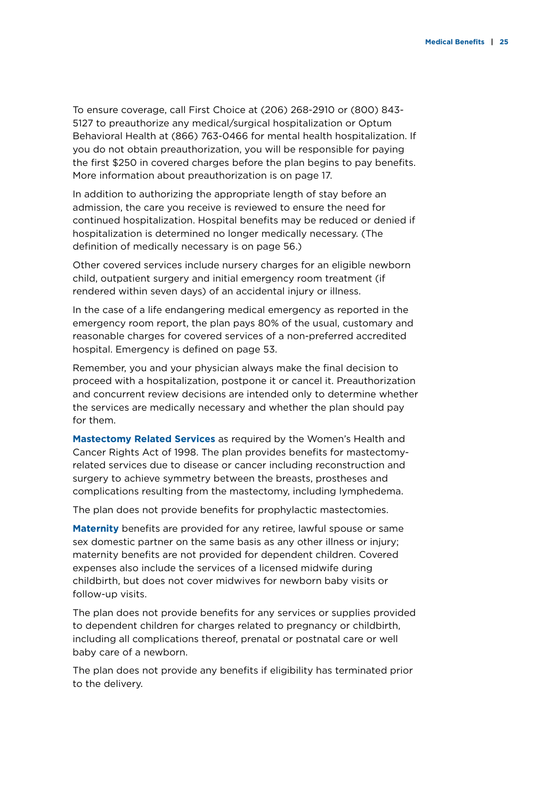To ensure coverage, call First Choice at (206) 268-2910 or (800) 843- 5127 to preauthorize any medical/surgical hospitalization or Optum Behavioral Health at (866) 763-0466 for mental health hospitalization. If you do not obtain preauthorization, you will be responsible for paying the first \$250 in covered charges before the plan begins to pay benefits. More information about preauthorization is on page 17.

In addition to authorizing the appropriate length of stay before an admission, the care you receive is reviewed to ensure the need for continued hospitalization. Hospital benefits may be reduced or denied if hospitalization is determined no longer medically necessary. (The definition of medically necessary is on page 56.)

Other covered services include nursery charges for an eligible newborn child, outpatient surgery and initial emergency room treatment (if rendered within seven days) of an accidental injury or illness.

In the case of a life endangering medical emergency as reported in the emergency room report, the plan pays 80% of the usual, customary and reasonable charges for covered services of a non-preferred accredited hospital. Emergency is defined on page 53.

Remember, you and your physician always make the final decision to proceed with a hospitalization, postpone it or cancel it. Preauthorization and concurrent review decisions are intended only to determine whether the services are medically necessary and whether the plan should pay for them.

**Mastectomy Related Services** as required by the Women's Health and Cancer Rights Act of 1998. The plan provides benefits for mastectomyrelated services due to disease or cancer including reconstruction and surgery to achieve symmetry between the breasts, prostheses and complications resulting from the mastectomy, including lymphedema.

The plan does not provide benefits for prophylactic mastectomies.

**Maternity** benefits are provided for any retiree, lawful spouse or same sex domestic partner on the same basis as any other illness or injury; maternity benefits are not provided for dependent children. Covered expenses also include the services of a licensed midwife during childbirth, but does not cover midwives for newborn baby visits or follow-up visits.

The plan does not provide benefits for any services or supplies provided to dependent children for charges related to pregnancy or childbirth, including all complications thereof, prenatal or postnatal care or well baby care of a newborn.

The plan does not provide any benefits if eligibility has terminated prior to the delivery.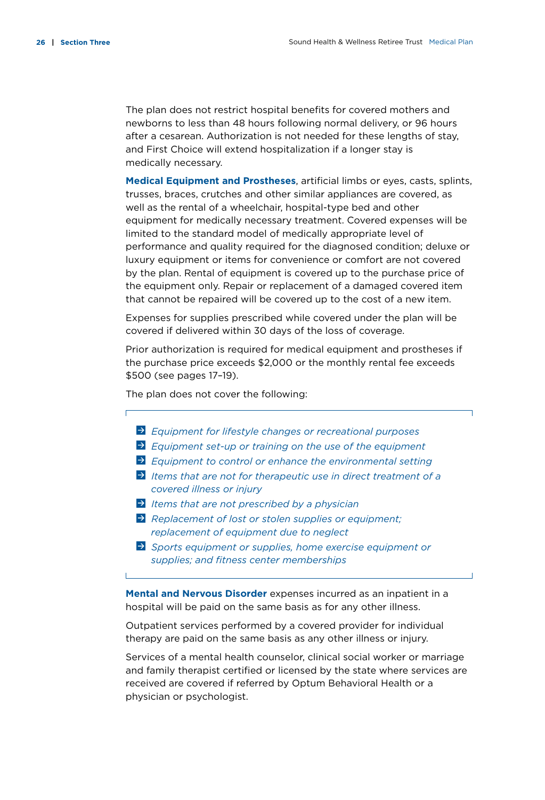The plan does not restrict hospital benefits for covered mothers and newborns to less than 48 hours following normal delivery, or 96 hours after a cesarean. Authorization is not needed for these lengths of stay, and First Choice will extend hospitalization if a longer stay is medically necessary.

**Medical Equipment and Prostheses**, artificial limbs or eyes, casts, splints, trusses, braces, crutches and other similar appliances are covered, as well as the rental of a wheelchair, hospital-type bed and other equipment for medically necessary treatment. Covered expenses will be limited to the standard model of medically appropriate level of performance and quality required for the diagnosed condition; deluxe or luxury equipment or items for convenience or comfort are not covered by the plan. Rental of equipment is covered up to the purchase price of the equipment only. Repair or replacement of a damaged covered item that cannot be repaired will be covered up to the cost of a new item.

Expenses for supplies prescribed while covered under the plan will be covered if delivered within 30 days of the loss of coverage.

Prior authorization is required for medical equipment and prostheses if the purchase price exceeds \$2,000 or the monthly rental fee exceeds \$500 (see pages 17–19).

The plan does not cover the following:

Ĕ

- *Equipment for lifestyle changes or recreational purposes*
- *Equipment set-up or training on the use of the equipment*
- *Equipment to control or enhance the environmental setting*
- *Items that are not for therapeutic use in direct treatment of a covered illness or injury*
- *Items that are not prescribed by a physician*
- *Replacement of lost or stolen supplies or equipment; replacement of equipment due to neglect*
- *Sports equipment or supplies, home exercise equipment or supplies; and fitness center memberships*

**Mental and Nervous Disorder** expenses incurred as an inpatient in a hospital will be paid on the same basis as for any other illness.

Outpatient services performed by a covered provider for individual therapy are paid on the same basis as any other illness or injury.

Services of a mental health counselor, clinical social worker or marriage and family therapist certified or licensed by the state where services are received are covered if referred by Optum Behavioral Health or a physician or psychologist.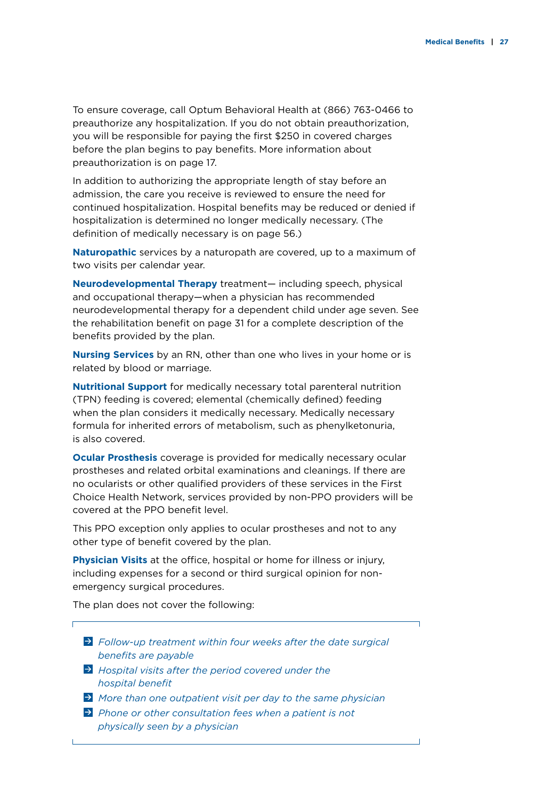To ensure coverage, call Optum Behavioral Health at (866) 763-0466 to preauthorize any hospitalization. If you do not obtain preauthorization, you will be responsible for paying the first \$250 in covered charges before the plan begins to pay benefits. More information about preauthorization is on page 17.

In addition to authorizing the appropriate length of stay before an admission, the care you receive is reviewed to ensure the need for continued hospitalization. Hospital benefits may be reduced or denied if hospitalization is determined no longer medically necessary. (The definition of medically necessary is on page 56.)

**Naturopathic** services by a naturopath are covered, up to a maximum of two visits per calendar year.

**Neurodevelopmental Therapy** treatment— including speech, physical and occupational therapy—when a physician has recommended neurodevelopmental therapy for a dependent child under age seven. See the rehabilitation benefit on page 31 for a complete description of the benefits provided by the plan.

**Nursing Services** by an RN, other than one who lives in your home or is related by blood or marriage.

**Nutritional Support** for medically necessary total parenteral nutrition (TPN) feeding is covered; elemental (chemically defined) feeding when the plan considers it medically necessary. Medically necessary formula for inherited errors of metabolism, such as phenylketonuria, is also covered.

**Ocular Prosthesis** coverage is provided for medically necessary ocular prostheses and related orbital examinations and cleanings. If there are no ocularists or other qualified providers of these services in the First Choice Health Network, services provided by non-PPO providers will be covered at the PPO benefit level.

This PPO exception only applies to ocular prostheses and not to any other type of benefit covered by the plan.

**Physician Visits** at the office, hospital or home for illness or injury, including expenses for a second or third surgical opinion for nonemergency surgical procedures.

The plan does not cover the following:

- *Follow-up treatment within four weeks after the date surgical benefits are payable*
- *Hospital visits after the period covered under the hospital benefit*
- *More than one outpatient visit per day to the same physician*
- *Phone or other consultation fees when a patient is not physically seen by a physician*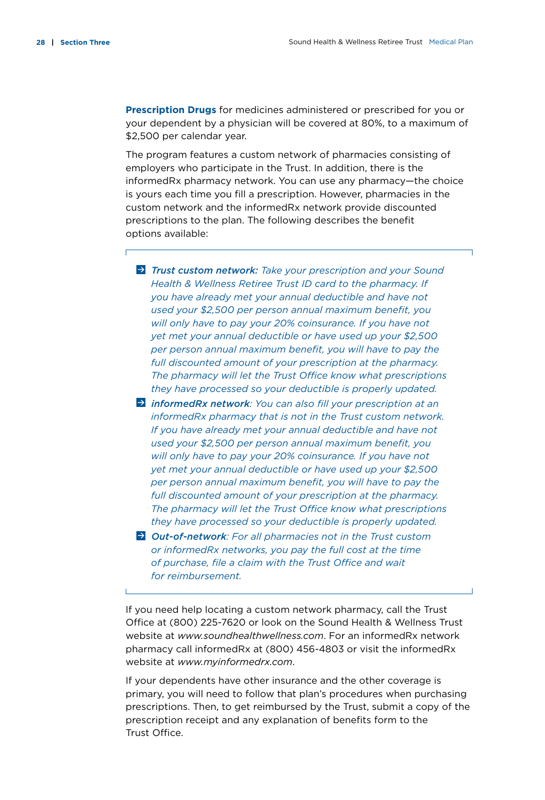Ē

**Prescription Drugs** for medicines administered or prescribed for you or your dependent by a physician will be covered at 80%, to a maximum of \$2,500 per calendar year.

The program features a custom network of pharmacies consisting of employers who participate in the Trust. In addition, there is the informedRx pharmacy network. You can use any pharmacy—the choice is yours each time you fill a prescription. However, pharmacies in the custom network and the informedRx network provide discounted prescriptions to the plan. The following describes the benefit options available:

- *Trust custom network: Take your prescription and your Sound Health & Wellness Retiree Trust ID card to the pharmacy. If you have already met your annual deductible and have not used your \$2,500 per person annual maximum benefit, you will only have to pay your 20% coinsurance. If you have not yet met your annual deductible or have used up your \$2,500 per person annual maximum benefit, you will have to pay the full discounted amount of your prescription at the pharmacy. The pharmacy will let the Trust Office know what prescriptions they have processed so your deductible is properly updated.*
- *informedRx network: You can also fill your prescription at an informedRx pharmacy that is not in the Trust custom network. If you have already met your annual deductible and have not used your \$2,500 per person annual maximum benefit, you will only have to pay your 20% coinsurance. If you have not yet met your annual deductible or have used up your \$2,500 per person annual maximum benefit, you will have to pay the full discounted amount of your prescription at the pharmacy. The pharmacy will let the Trust Office know what prescriptions they have processed so your deductible is properly updated.*
- *Out-of-network: For all pharmacies not in the Trust custom or informedRx networks, you pay the full cost at the time of purchase, file a claim with the Trust Office and wait for reimbursement.*

If you need help locating a custom network pharmacy, call the Trust Office at (800) 225-7620 or look on the Sound Health & Wellness Trust website at *www.soundhealthwellness.com*. For an informedRx network pharmacy call informedRx at (800) 456-4803 or visit the informedRx website at *www.myinformedrx.com*.

If your dependents have other insurance and the other coverage is primary, you will need to follow that plan's procedures when purchasing prescriptions. Then, to get reimbursed by the Trust, submit a copy of the prescription receipt and any explanation of benefits form to the Trust Office.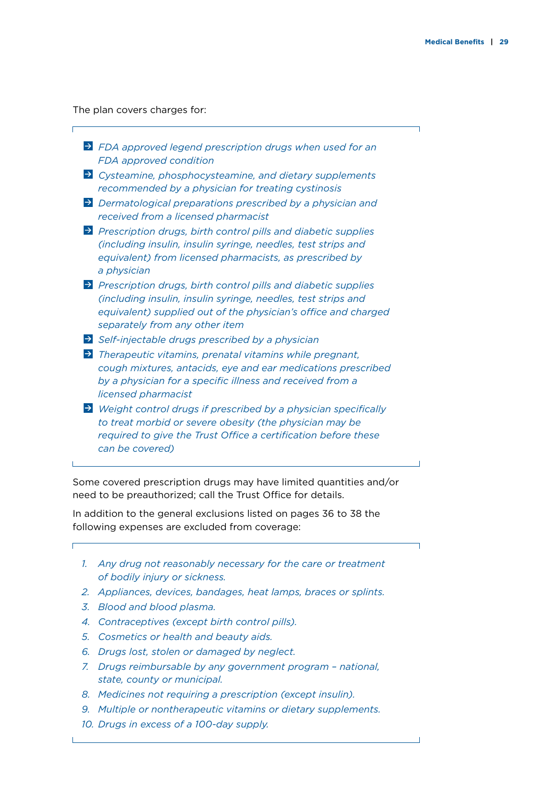The plan covers charges for:

|               | $\Rightarrow$ FDA approved legend prescription drugs when used for an<br>FDA approved condition                                                                                                                                      |
|---------------|--------------------------------------------------------------------------------------------------------------------------------------------------------------------------------------------------------------------------------------|
| $\rightarrow$ | Cysteamine, phosphocysteamine, and dietary supplements<br>recommended by a physician for treating cystinosis                                                                                                                         |
| $\rightarrow$ | Dermatological preparations prescribed by a physician and<br>received from a licensed pharmacist                                                                                                                                     |
|               | $\Rightarrow$ Prescription drugs, birth control pills and diabetic supplies<br>(including insulin, insulin syringe, needles, test strips and<br>equivalent) from licensed pharmacists, as prescribed by<br>a physician               |
|               | > Prescription drugs, birth control pills and diabetic supplies<br>(including insulin, insulin syringe, needles, test strips and<br>equivalent) supplied out of the physician's office and charged<br>separately from any other item |
|               | $\Rightarrow$ Self-injectable drugs prescribed by a physician                                                                                                                                                                        |
| $\rightarrow$ | Therapeutic vitamins, prenatal vitamins while pregnant,<br>cough mixtures, antacids, eye and ear medications prescribed<br>by a physician for a specific illness and received from a<br>licensed pharmacist                          |
|               | $\rightarrow$ Weight control drugs if prescribed by a physician specifically<br>to treat morbid or severe obesity (the physician may be<br>required to give the Trust Office a certification before these<br>can be covered)         |

Some covered prescription drugs may have limited quantities and/or need to be preauthorized; call the Trust Office for details.

In addition to the general exclusions listed on pages 36 to 38 the following expenses are excluded from coverage:

- *1. Any drug not reasonably necessary for the care or treatment of bodily injury or sickness.*
- *2. Appliances, devices, bandages, heat lamps, braces or splints.*
- *3. Blood and blood plasma.*

 $\Gamma$ 

- *4. Contraceptives (except birth control pills).*
- *5. Cosmetics or health and beauty aids.*
- *6. Drugs lost, stolen or damaged by neglect.*
- *7. Drugs reimbursable by any government program national, state, county or municipal.*
- *8. Medicines not requiring a prescription (except insulin).*
- *9. Multiple or nontherapeutic vitamins or dietary supplements.*
- *10. Drugs in excess of a 100-day supply.*

 $\mathbf{I}$ 

 $\overline{\phantom{0}}$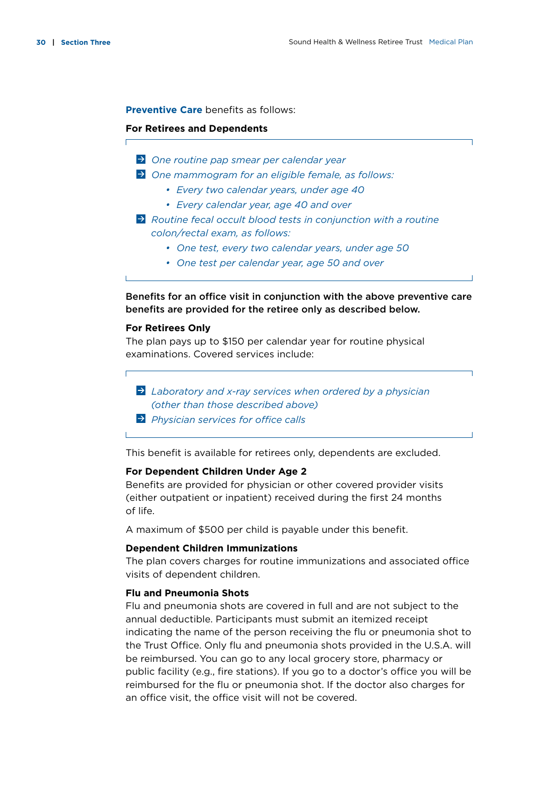Ē

**Preventive Care** benefits as follows:

#### **For Retirees and Dependents**

- *One routine pap smear per calendar year*
- *One mammogram for an eligible female, as follows:*
	- *• Every two calendar years, under age 40*
	- *• Every calendar year, age 40 and over*
- *Routine fecal occult blood tests in conjunction with a routine colon/rectal exam, as follows:*
	- *• One test, every two calendar years, under age 50*
	- *• One test per calendar year, age 50 and over*

#### Benefits for an office visit in conjunction with the above preventive care benefits are provided for the retiree only as described below.

#### **For Retirees Only**

The plan pays up to \$150 per calendar year for routine physical examinations. Covered services include:

- *Laboratory and x-ray services when ordered by a physician (other than those described above)*
- *Physician services for office calls*

This benefit is available for retirees only, dependents are excluded.

#### **For Dependent Children Under Age 2**

Benefits are provided for physician or other covered provider visits (either outpatient or inpatient) received during the first 24 months of life.

A maximum of \$500 per child is payable under this benefit.

#### **Dependent Children Immunizations**

The plan covers charges for routine immunizations and associated office visits of dependent children.

#### **Flu and Pneumonia Shots**

Flu and pneumonia shots are covered in full and are not subject to the annual deductible. Participants must submit an itemized receipt indicating the name of the person receiving the flu or pneumonia shot to the Trust Office. Only flu and pneumonia shots provided in the U.S.A. will be reimbursed. You can go to any local grocery store, pharmacy or public facility (e.g., fire stations). If you go to a doctor's office you will be reimbursed for the flu or pneumonia shot. If the doctor also charges for an office visit, the office visit will not be covered.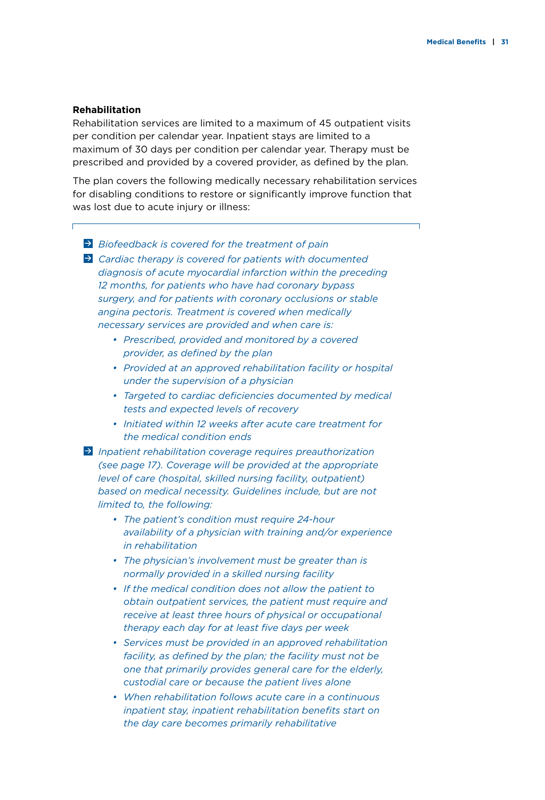#### **Rehabilitation**

Rehabilitation services are limited to a maximum of 45 outpatient visits per condition per calendar year. Inpatient stays are limited to a maximum of 30 days per condition per calendar year. Therapy must be prescribed and provided by a covered provider, as defined by the plan.

The plan covers the following medically necessary rehabilitation services for disabling conditions to restore or significantly improve function that was lost due to acute injury or illness:

 *Biofeedback is covered for the treatment of pain*

- *Cardiac therapy is covered for patients with documented diagnosis of acute myocardial infarction within the preceding 12 months, for patients who have had coronary bypass surgery, and for patients with coronary occlusions or stable angina pectoris. Treatment is covered when medically necessary services are provided and when care is:*
	- *• Prescribed, provided and monitored by a covered provider, as defined by the plan*
	- *• Provided at an approved rehabilitation facility or hospital under the supervision of a physician*
	- *• Targeted to cardiac deficiencies documented by medical tests and expected levels of recovery*
	- *• Initiated within 12 weeks after acute care treatment for the medical condition ends*
- *Inpatient rehabilitation coverage requires preauthorization (see page 17). Coverage will be provided at the appropriate level of care (hospital, skilled nursing facility, outpatient) based on medical necessity. Guidelines include, but are not limited to, the following:*
	- *• The patient's condition must require 24-hour availability of a physician with training and/or experience in rehabilitation*
	- *• The physician's involvement must be greater than is normally provided in a skilled nursing facility*
	- *• If the medical condition does not allow the patient to obtain outpatient services, the patient must require and receive at least three hours of physical or occupational therapy each day for at least five days per week*
	- *• Services must be provided in an approved rehabilitation facility, as defined by the plan; the facility must not be one that primarily provides general care for the elderly, custodial care or because the patient lives alone*
	- *• When rehabilitation follows acute care in a continuous inpatient stay, inpatient rehabilitation benefits start on the day care becomes primarily rehabilitative*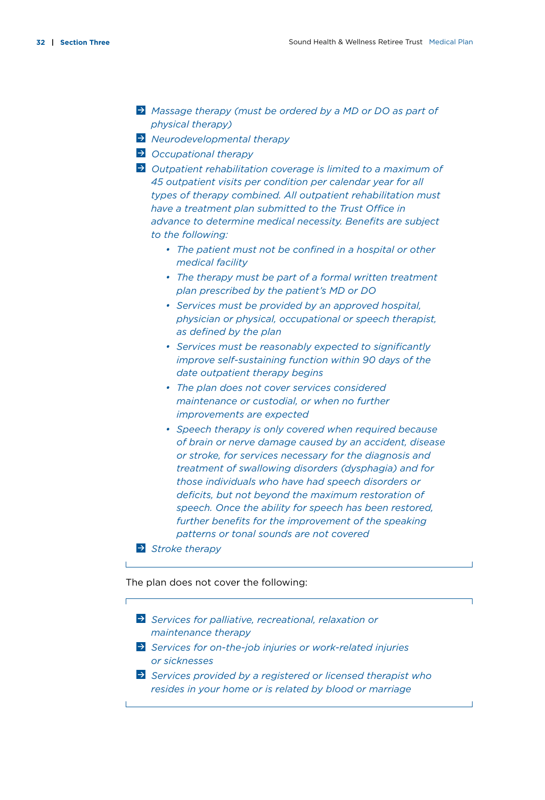- *Massage therapy (must be ordered by a MD or DO as part of physical therapy)*
- *Neurodevelopmental therapy*
- *Occupational therapy*
- *Outpatient rehabilitation coverage is limited to a maximum of 45 outpatient visits per condition per calendar year for all types of therapy combined. All outpatient rehabilitation must have a treatment plan submitted to the Trust Office in advance to determine medical necessity. Benefits are subject to the following:*
	- *• The patient must not be confined in a hospital or other medical facility*
	- *• The therapy must be part of a formal written treatment plan prescribed by the patient's MD or DO*
	- *• Services must be provided by an approved hospital, physician or physical, occupational or speech therapist, as defined by the plan*
	- *• Services must be reasonably expected to significantly improve self-sustaining function within 90 days of the date outpatient therapy begins*
	- *• The plan does not cover services considered maintenance or custodial, or when no further improvements are expected*
	- *• Speech therapy is only covered when required because of brain or nerve damage caused by an accident, disease or stroke, for services necessary for the diagnosis and treatment of swallowing disorders (dysphagia) and for those individuals who have had speech disorders or deficits, but not beyond the maximum restoration of speech. Once the ability for speech has been restored, further benefits for the improvement of the speaking patterns or tonal sounds are not covered*

 *Stroke therapy*

Ē

The plan does not cover the following:

 *Services for palliative, recreational, relaxation or maintenance therapy Services for on-the-job injuries or work-related injuries or sicknesses Services provided by a registered or licensed therapist who resides in your home or is related by blood or marriage*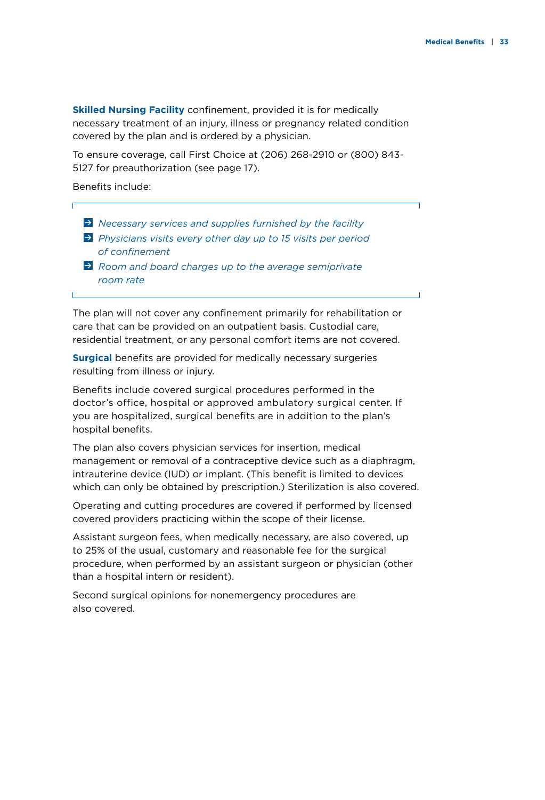**Skilled Nursing Facility** confinement, provided it is for medically necessary treatment of an injury, illness or pregnancy related condition covered by the plan and is ordered by a physician.

To ensure coverage, call First Choice at (206) 268-2910 or (800) 843- 5127 for preauthorization (see page 17).

Benefits include:

- *Necessary services and supplies furnished by the facility Physicians visits every other day up to 15 visits per period of confinement*
- *Room and board charges up to the average semiprivate room rate*

The plan will not cover any confinement primarily for rehabilitation or care that can be provided on an outpatient basis. Custodial care, residential treatment, or any personal comfort items are not covered.

**Surgical** benefits are provided for medically necessary surgeries resulting from illness or injury.

Benefits include covered surgical procedures performed in the doctor's office, hospital or approved ambulatory surgical center. If you are hospitalized, surgical benefits are in addition to the plan's hospital benefits.

The plan also covers physician services for insertion, medical management or removal of a contraceptive device such as a diaphragm, intrauterine device (IUD) or implant. (This benefit is limited to devices which can only be obtained by prescription.) Sterilization is also covered.

Operating and cutting procedures are covered if performed by licensed covered providers practicing within the scope of their license.

Assistant surgeon fees, when medically necessary, are also covered, up to 25% of the usual, customary and reasonable fee for the surgical procedure, when performed by an assistant surgeon or physician (other than a hospital intern or resident).

Second surgical opinions for nonemergency procedures are also covered.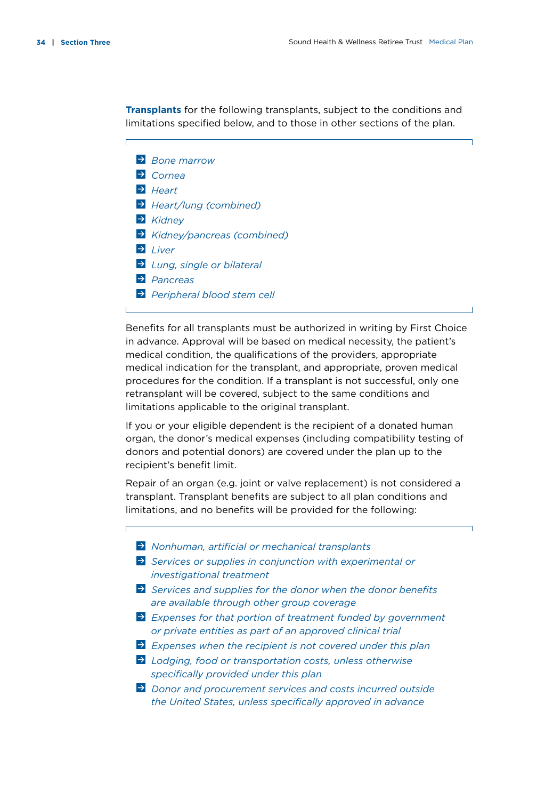**Transplants** for the following transplants, subject to the conditions and limitations specified below, and to those in other sections of the plan.

- *Bone marrow*
- *Cornea*
- *Heart*
- *Heart/lung (combined)*
- *Kidney*
- *Kidney/pancreas (combined)*
- *Liver*

Ē

- *Lung, single or bilateral*
- *Pancreas*
- *Peripheral blood stem cell*

Benefits for all transplants must be authorized in writing by First Choice in advance. Approval will be based on medical necessity, the patient's medical condition, the qualifications of the providers, appropriate medical indication for the transplant, and appropriate, proven medical procedures for the condition. If a transplant is not successful, only one retransplant will be covered, subject to the same conditions and limitations applicable to the original transplant.

If you or your eligible dependent is the recipient of a donated human organ, the donor's medical expenses (including compatibility testing of donors and potential donors) are covered under the plan up to the recipient's benefit limit.

Repair of an organ (e.g. joint or valve replacement) is not considered a transplant. Transplant benefits are subject to all plan conditions and limitations, and no benefits will be provided for the following:

- *Nonhuman, artificial or mechanical transplants*
- *Services or supplies in conjunction with experimental or investigational treatment*
- *Services and supplies for the donor when the donor benefits are available through other group coverage*
- *Expenses for that portion of treatment funded by government or private entities as part of an approved clinical trial*
- *Expenses when the recipient is not covered under this plan*
- *Lodging, food or transportation costs, unless otherwise specifically provided under this plan*
- *Donor and procurement services and costs incurred outside the United States, unless specifically approved in advance*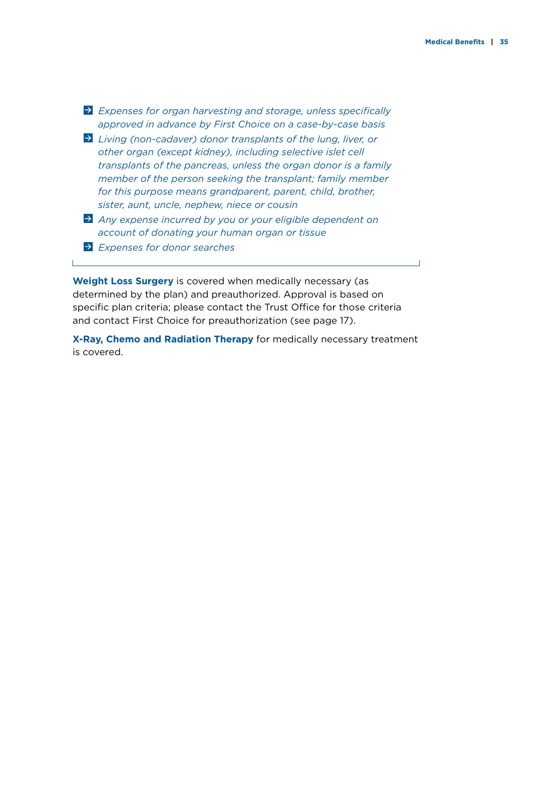$\overline{\phantom{0}}$ 

 *Expenses for organ harvesting and storage, unless specifically approved in advance by First Choice on a case-by-case basis Living (non-cadaver) donor transplants of the lung, liver, or other organ (except kidney), including selective islet cell transplants of the pancreas, unless the organ donor is a family member of the person seeking the transplant; family member for this purpose means grandparent, parent, child, brother, sister, aunt, uncle, nephew, niece or cousin*

- *Any expense incurred by you or your eligible dependent on account of donating your human organ or tissue*
- *Expenses for donor searches*

**Weight Loss Surgery** is covered when medically necessary (as determined by the plan) and preauthorized. Approval is based on specific plan criteria; please contact the Trust Office for those criteria and contact First Choice for preauthorization (see page 17).

**X-Ray, Chemo and Radiation Therapy** for medically necessary treatment is covered.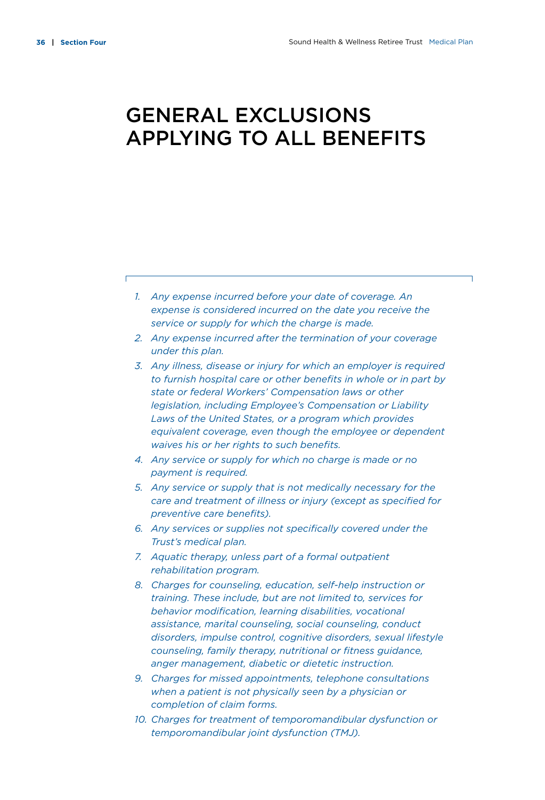# General Exclusions Applying to All Benefits

| 1. Any expense incurred before your date of coverage. An   |
|------------------------------------------------------------|
| expense is considered incurred on the date you receive the |
| service or supply for which the charge is made.            |

*2. Any expense incurred after the termination of your coverage under this plan.*

*3. Any illness, disease or injury for which an employer is required to furnish hospital care or other benefits in whole or in part by state or federal Workers' Compensation laws or other legislation, including Employee's Compensation or Liability Laws of the United States, or a program which provides equivalent coverage, even though the employee or dependent waives his or her rights to such benefits.*

- *4. Any service or supply for which no charge is made or no payment is required.*
- *5. Any service or supply that is not medically necessary for the care and treatment of illness or injury (except as specified for preventive care benefits).*
- *6. Any services or supplies not specifically covered under the Trust's medical plan.*
- *7. Aquatic therapy, unless part of a formal outpatient rehabilitation program.*
- *8. Charges for counseling, education, self-help instruction or training. These include, but are not limited to, services for behavior modification, learning disabilities, vocational assistance, marital counseling, social counseling, conduct disorders, impulse control, cognitive disorders, sexual lifestyle counseling, family therapy, nutritional or fitness guidance, anger management, diabetic or dietetic instruction.*
- *9. Charges for missed appointments, telephone consultations when a patient is not physically seen by a physician or completion of claim forms.*
- *10. Charges for treatment of temporomandibular dysfunction or temporomandibular joint dysfunction (TMJ).*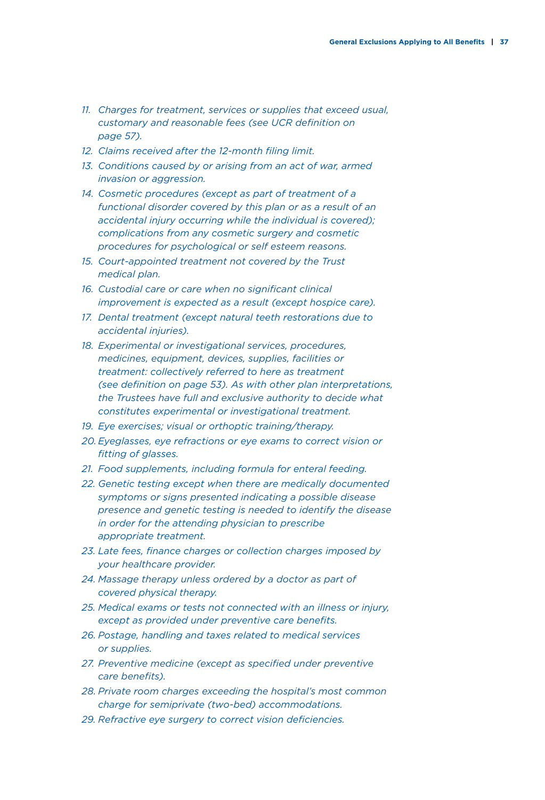- *11. Charges for treatment, services or supplies that exceed usual, customary and reasonable fees (see UCR definition on page 57).*
- *12. Claims received after the 12-month filing limit.*
- *13. Conditions caused by or arising from an act of war, armed invasion or aggression.*
- *14. Cosmetic procedures (except as part of treatment of a functional disorder covered by this plan or as a result of an accidental injury occurring while the individual is covered); complications from any cosmetic surgery and cosmetic procedures for psychological or self esteem reasons.*
- *15. Court-appointed treatment not covered by the Trust medical plan.*
- *16. Custodial care or care when no significant clinical improvement is expected as a result (except hospice care).*
- *17. Dental treatment (except natural teeth restorations due to accidental injuries).*
- *18. Experimental or investigational services, procedures, medicines, equipment, devices, supplies, facilities or treatment: collectively referred to here as treatment (see definition on page 53). As with other plan interpretations, the Trustees have full and exclusive authority to decide what constitutes experimental or investigational treatment.*
- *19. Eye exercises; visual or orthoptic training/therapy.*
- *20.Eyeglasses, eye refractions or eye exams to correct vision or fitting of glasses.*
- *21. Food supplements, including formula for enteral feeding.*
- *22. Genetic testing except when there are medically documented symptoms or signs presented indicating a possible disease presence and genetic testing is needed to identify the disease in order for the attending physician to prescribe appropriate treatment.*
- *23. Late fees, finance charges or collection charges imposed by your healthcare provider.*
- *24. Massage therapy unless ordered by a doctor as part of covered physical therapy.*
- *25. Medical exams or tests not connected with an illness or injury, except as provided under preventive care benefits.*
- *26. Postage, handling and taxes related to medical services or supplies.*
- *27. Preventive medicine (except as specified under preventive care benefits).*
- *28. Private room charges exceeding the hospital's most common charge for semiprivate (two-bed) accommodations.*
- *29. Refractive eye surgery to correct vision deficiencies.*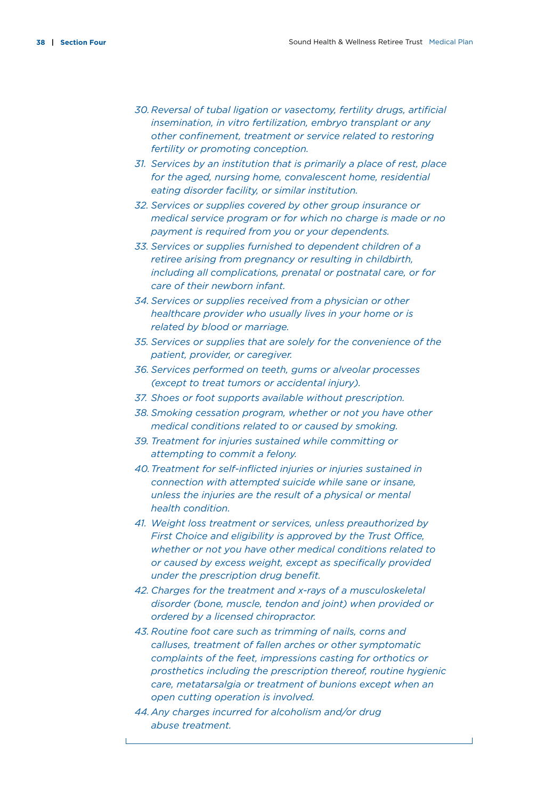- *30. Reversal of tubal ligation or vasectomy, fertility drugs, artificial insemination, in vitro fertilization, embryo transplant or any other confinement, treatment or service related to restoring fertility or promoting conception.*
- *31. Services by an institution that is primarily a place of rest, place for the aged, nursing home, convalescent home, residential eating disorder facility, or similar institution.*
- *32. Services or supplies covered by other group insurance or medical service program or for which no charge is made or no payment is required from you or your dependents.*
- *33. Services or supplies furnished to dependent children of a retiree arising from pregnancy or resulting in childbirth, including all complications, prenatal or postnatal care, or for care of their newborn infant.*
- *34. Services or supplies received from a physician or other healthcare provider who usually lives in your home or is related by blood or marriage.*
- *35. Services or supplies that are solely for the convenience of the patient, provider, or caregiver.*
- *36. Services performed on teeth, gums or alveolar processes (except to treat tumors or accidental injury).*
- *37. Shoes or foot supports available without prescription.*
- *38. Smoking cessation program, whether or not you have other medical conditions related to or caused by smoking.*
- *39. Treatment for injuries sustained while committing or attempting to commit a felony.*
- *40.Treatment for self-inflicted injuries or injuries sustained in connection with attempted suicide while sane or insane, unless the injuries are the result of a physical or mental health condition.*
- *41. Weight loss treatment or services, unless preauthorized by First Choice and eligibility is approved by the Trust Office, whether or not you have other medical conditions related to or caused by excess weight, except as specifically provided under the prescription drug benefit.*
- *42. Charges for the treatment and x-rays of a musculoskeletal disorder (bone, muscle, tendon and joint) when provided or ordered by a licensed chiropractor.*
- *43. Routine foot care such as trimming of nails, corns and calluses, treatment of fallen arches or other symptomatic complaints of the feet, impressions casting for orthotics or prosthetics including the prescription thereof, routine hygienic care, metatarsalgia or treatment of bunions except when an open cutting operation is involved.*
- *44.Any charges incurred for alcoholism and/or drug abuse treatment.*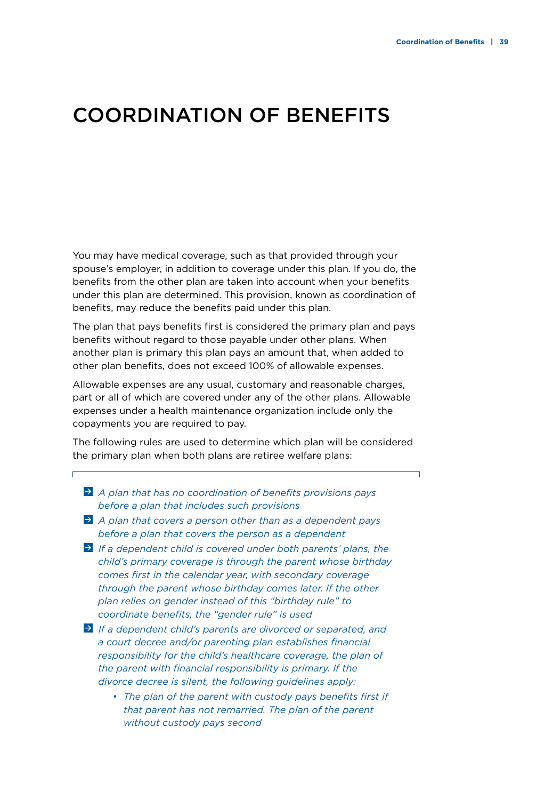# Coordination of Benefits

You may have medical coverage, such as that provided through your spouse's employer, in addition to coverage under this plan. If you do, the benefits from the other plan are taken into account when your benefits under this plan are determined. This provision, known as coordination of benefits, may reduce the benefits paid under this plan.

The plan that pays benefits first is considered the primary plan and pays benefits without regard to those payable under other plans. When another plan is primary this plan pays an amount that, when added to other plan benefits, does not exceed 100% of allowable expenses.

Allowable expenses are any usual, customary and reasonable charges, part or all of which are covered under any of the other plans. Allowable expenses under a health maintenance organization include only the copayments you are required to pay.

The following rules are used to determine which plan will be considered the primary plan when both plans are retiree welfare plans:

 *A plan that has no coordination of benefits provisions pays before a plan that includes such provisions*

Ē

- *A plan that covers a person other than as a dependent pays before a plan that covers the person as a dependent*
- *If a dependent child is covered under both parents' plans, the child's primary coverage is through the parent whose birthday comes first in the calendar year, with secondary coverage through the parent whose birthday comes later. If the other plan relies on gender instead of this "birthday rule" to coordinate benefits, the "gender rule" is used*
- *If a dependent child's parents are divorced or separated, and a court decree and/or parenting plan establishes financial responsibility for the child's healthcare coverage, the plan of the parent with financial responsibility is primary. If the divorce decree is silent, the following guidelines apply:*
	- *• The plan of the parent with custody pays benefits first if that parent has not remarried. The plan of the parent without custody pays second*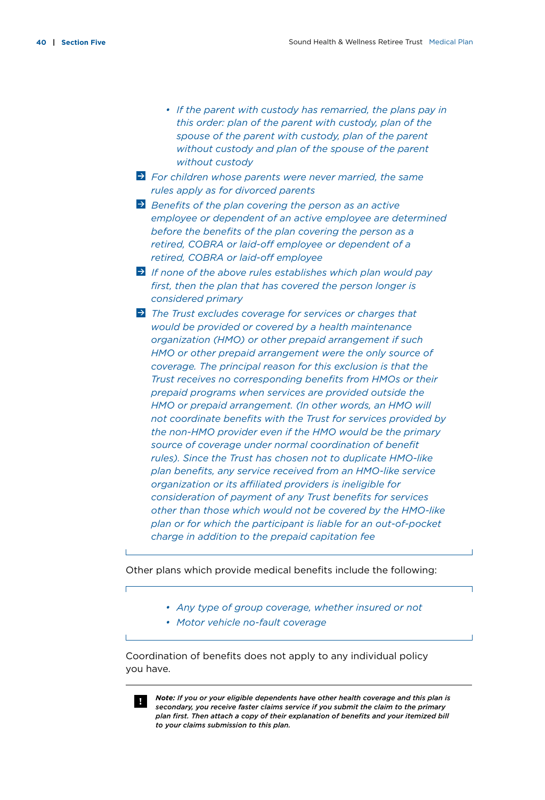- *• If the parent with custody has remarried, the plans pay in this order: plan of the parent with custody, plan of the spouse of the parent with custody, plan of the parent without custody and plan of the spouse of the parent without custody*
- *For children whose parents were never married, the same rules apply as for divorced parents*
- *Benefits of the plan covering the person as an active employee or dependent of an active employee are determined before the benefits of the plan covering the person as a retired, COBRA or laid-off employee or dependent of a retired, COBRA or laid-off employee*
- *If none of the above rules establishes which plan would pay first, then the plan that has covered the person longer is considered primary*
- *The Trust excludes coverage for services or charges that would be provided or covered by a health maintenance organization (HMO) or other prepaid arrangement if such HMO or other prepaid arrangement were the only source of coverage. The principal reason for this exclusion is that the Trust receives no corresponding benefits from HMOs or their prepaid programs when services are provided outside the HMO or prepaid arrangement. (In other words, an HMO will not coordinate benefits with the Trust for services provided by the non-HMO provider even if the HMO would be the primary source of coverage under normal coordination of benefit rules). Since the Trust has chosen not to duplicate HMO-like plan benefits, any service received from an HMO-like service organization or its affiliated providers is ineligible for consideration of payment of any Trust benefits for services other than those which would not be covered by the HMO-like plan or for which the participant is liable for an out-of-pocket charge in addition to the prepaid capitation fee*

Other plans which provide medical benefits include the following:

*• Any type of group coverage, whether insured or not*

*• Motor vehicle no-fault coverage*

Coordination of benefits does not apply to any individual policy you have.

*Note: If you or your eligible dependents have other health coverage and this plan is secondary, you receive faster claims service if you submit the claim to the primary plan first. Then attach a copy of their explanation of benefits and your itemized bill to your claims submission to this plan.*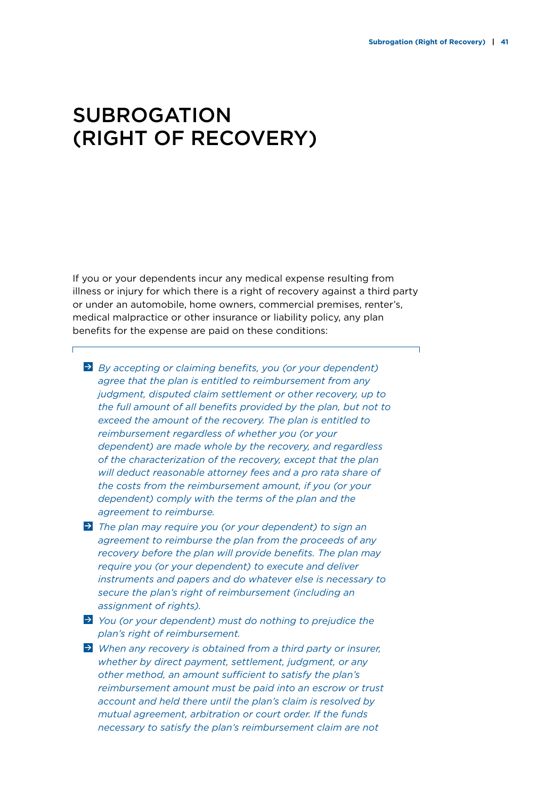# **SUBROGATION** (Right of Recovery)

If you or your dependents incur any medical expense resulting from illness or injury for which there is a right of recovery against a third party or under an automobile, home owners, commercial premises, renter's, medical malpractice or other insurance or liability policy, any plan benefits for the expense are paid on these conditions:

- *By accepting or claiming benefits, you (or your dependent) agree that the plan is entitled to reimbursement from any judgment, disputed claim settlement or other recovery, up to the full amount of all benefits provided by the plan, but not to exceed the amount of the recovery. The plan is entitled to reimbursement regardless of whether you (or your dependent) are made whole by the recovery, and regardless of the characterization of the recovery, except that the plan will deduct reasonable attorney fees and a pro rata share of the costs from the reimbursement amount, if you (or your dependent) comply with the terms of the plan and the agreement to reimburse.*
- *The plan may require you (or your dependent) to sign an agreement to reimburse the plan from the proceeds of any recovery before the plan will provide benefits. The plan may require you (or your dependent) to execute and deliver instruments and papers and do whatever else is necessary to secure the plan's right of reimbursement (including an assignment of rights).*
- *You (or your dependent) must do nothing to prejudice the plan's right of reimbursement.*
- *When any recovery is obtained from a third party or insurer, whether by direct payment, settlement, judgment, or any other method, an amount sufficient to satisfy the plan's reimbursement amount must be paid into an escrow or trust account and held there until the plan's claim is resolved by mutual agreement, arbitration or court order. If the funds necessary to satisfy the plan's reimbursement claim are not*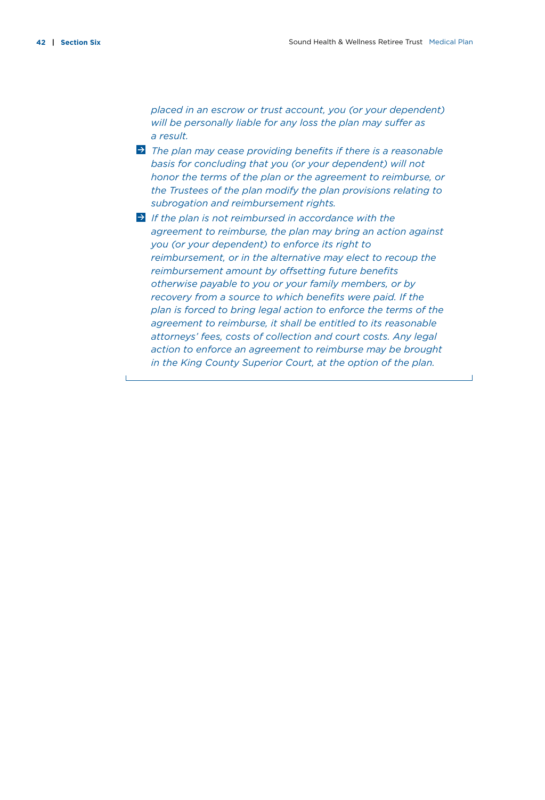*placed in an escrow or trust account, you (or your dependent) will be personally liable for any loss the plan may suffer as a result.*

- *The plan may cease providing benefits if there is a reasonable basis for concluding that you (or your dependent) will not honor the terms of the plan or the agreement to reimburse, or the Trustees of the plan modify the plan provisions relating to subrogation and reimbursement rights.*
- *If the plan is not reimbursed in accordance with the agreement to reimburse, the plan may bring an action against you (or your dependent) to enforce its right to reimbursement, or in the alternative may elect to recoup the reimbursement amount by offsetting future benefits otherwise payable to you or your family members, or by recovery from a source to which benefits were paid. If the plan is forced to bring legal action to enforce the terms of the agreement to reimburse, it shall be entitled to its reasonable attorneys' fees, costs of collection and court costs. Any legal action to enforce an agreement to reimburse may be brought in the King County Superior Court, at the option of the plan.*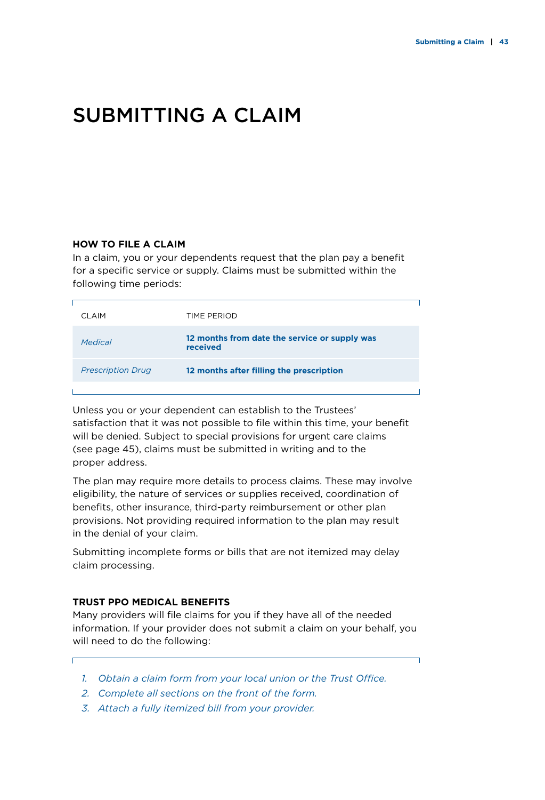# Submitting a Claim

# **How to File a Claim**

In a claim, you or your dependents request that the plan pay a benefit for a specific service or supply. Claims must be submitted within the following time periods:

| <b>CLAIM</b>             | TIME PERIOD                                               |  |
|--------------------------|-----------------------------------------------------------|--|
| <b>Medical</b>           | 12 months from date the service or supply was<br>received |  |
| <b>Prescription Drug</b> | 12 months after filling the prescription                  |  |
|                          |                                                           |  |

Unless you or your dependent can establish to the Trustees' satisfaction that it was not possible to file within this time, your benefit will be denied. Subject to special provisions for urgent care claims (see page 45), claims must be submitted in writing and to the proper address.

The plan may require more details to process claims. These may involve eligibility, the nature of services or supplies received, coordination of benefits, other insurance, third-party reimbursement or other plan provisions. Not providing required information to the plan may result in the denial of your claim.

Submitting incomplete forms or bills that are not itemized may delay claim processing.

## **Trust PPO Medical Benefits**

Ē

Many providers will file claims for you if they have all of the needed information. If your provider does not submit a claim on your behalf, you will need to do the following:

- *1. Obtain a claim form from your local union or the Trust Office.*
- *2. Complete all sections on the front of the form.*
- *3. Attach a fully itemized bill from your provider.*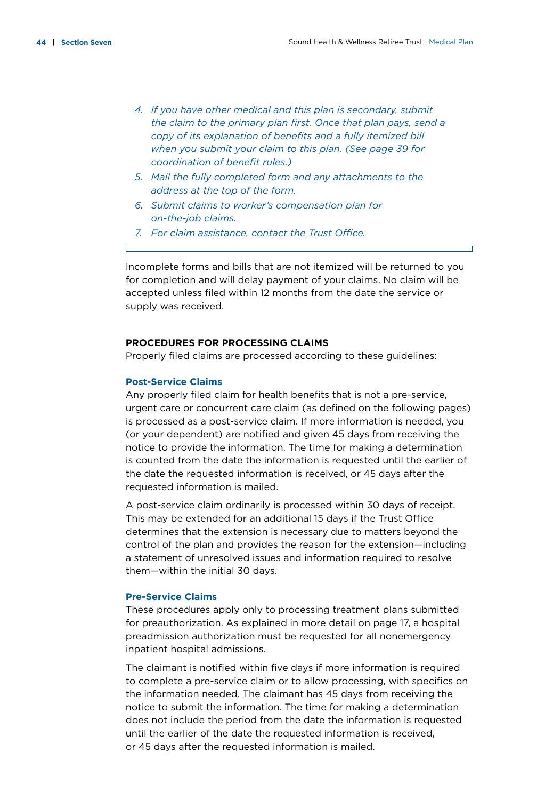- *4. If you have other medical and this plan is secondary, submit the claim to the primary plan first. Once that plan pays, send a copy of its explanation of benefits and a fully itemized bill when you submit your claim to this plan. (See page 39 for coordination of benefit rules.)*
- *5. Mail the fully completed form and any attachments to the address at the top of the form.*
- *6. Submit claims to worker's compensation plan for on-the-job claims.*
- *7. For claim assistance, contact the Trust Office.*

Incomplete forms and bills that are not itemized will be returned to you for completion and will delay payment of your claims. No claim will be accepted unless filed within 12 months from the date the service or supply was received.

#### **Procedures for Processing Claims**

Properly filed claims are processed according to these guidelines:

### **Post-Service Claims**

Any properly filed claim for health benefits that is not a pre-service, urgent care or concurrent care claim (as defined on the following pages) is processed as a post-service claim. If more information is needed, you (or your dependent) are notified and given 45 days from receiving the notice to provide the information. The time for making a determination is counted from the date the information is requested until the earlier of the date the requested information is received, or 45 days after the requested information is mailed.

A post-service claim ordinarily is processed within 30 days of receipt. This may be extended for an additional 15 days if the Trust Office determines that the extension is necessary due to matters beyond the control of the plan and provides the reason for the extension—including a statement of unresolved issues and information required to resolve them—within the initial 30 days.

## **Pre-Service Claims**

These procedures apply only to processing treatment plans submitted for preauthorization. As explained in more detail on page 17, a hospital preadmission authorization must be requested for all nonemergency inpatient hospital admissions.

The claimant is notified within five days if more information is required to complete a pre-service claim or to allow processing, with specifics on the information needed. The claimant has 45 days from receiving the notice to submit the information. The time for making a determination does not include the period from the date the information is requested until the earlier of the date the requested information is received, or 45 days after the requested information is mailed.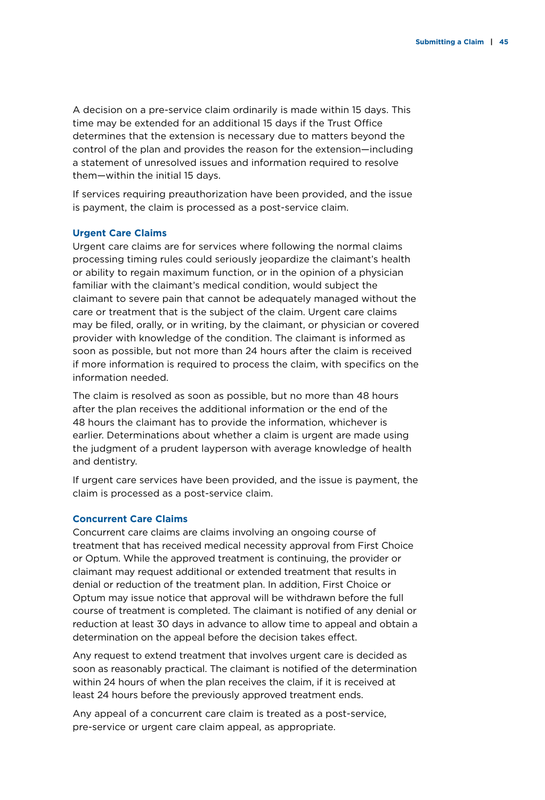A decision on a pre-service claim ordinarily is made within 15 days. This time may be extended for an additional 15 days if the Trust Office determines that the extension is necessary due to matters beyond the control of the plan and provides the reason for the extension—including a statement of unresolved issues and information required to resolve them—within the initial 15 days.

If services requiring preauthorization have been provided, and the issue is payment, the claim is processed as a post-service claim.

#### **Urgent Care Claims**

Urgent care claims are for services where following the normal claims processing timing rules could seriously jeopardize the claimant's health or ability to regain maximum function, or in the opinion of a physician familiar with the claimant's medical condition, would subject the claimant to severe pain that cannot be adequately managed without the care or treatment that is the subject of the claim. Urgent care claims may be filed, orally, or in writing, by the claimant, or physician or covered provider with knowledge of the condition. The claimant is informed as soon as possible, but not more than 24 hours after the claim is received if more information is required to process the claim, with specifics on the information needed.

The claim is resolved as soon as possible, but no more than 48 hours after the plan receives the additional information or the end of the 48 hours the claimant has to provide the information, whichever is earlier. Determinations about whether a claim is urgent are made using the judgment of a prudent layperson with average knowledge of health and dentistry.

If urgent care services have been provided, and the issue is payment, the claim is processed as a post-service claim.

#### **Concurrent Care Claims**

Concurrent care claims are claims involving an ongoing course of treatment that has received medical necessity approval from First Choice or Optum. While the approved treatment is continuing, the provider or claimant may request additional or extended treatment that results in denial or reduction of the treatment plan. In addition, First Choice or Optum may issue notice that approval will be withdrawn before the full course of treatment is completed. The claimant is notified of any denial or reduction at least 30 days in advance to allow time to appeal and obtain a determination on the appeal before the decision takes effect.

Any request to extend treatment that involves urgent care is decided as soon as reasonably practical. The claimant is notified of the determination within 24 hours of when the plan receives the claim, if it is received at least 24 hours before the previously approved treatment ends.

Any appeal of a concurrent care claim is treated as a post-service, pre-service or urgent care claim appeal, as appropriate.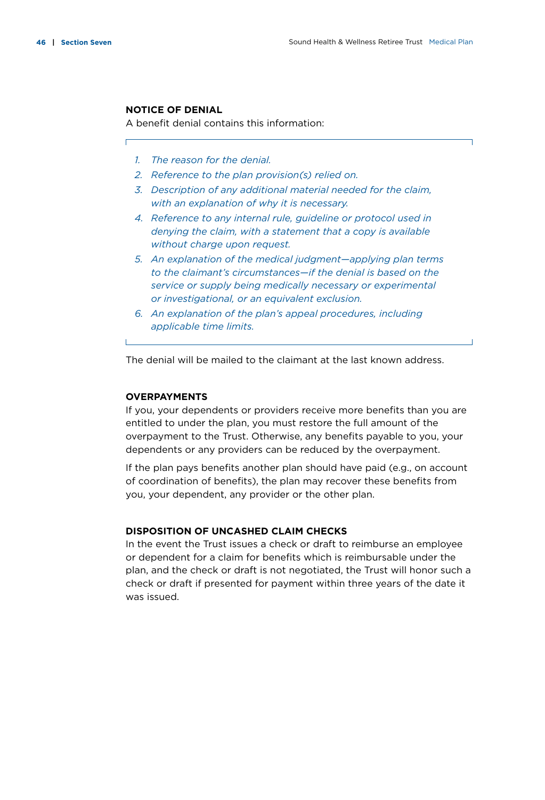### **Notice of Denial**

A benefit denial contains this information:

- *1. The reason for the denial.*
- *2. Reference to the plan provision(s) relied on.*
- *3. Description of any additional material needed for the claim, with an explanation of why it is necessary.*
- *4. Reference to any internal rule, guideline or protocol used in denying the claim, with a statement that a copy is available without charge upon request.*
- *5. An explanation of the medical judgment—applying plan terms to the claimant's circumstances—if the denial is based on the service or supply being medically necessary or experimental or investigational, or an equivalent exclusion.*
- *6. An explanation of the plan's appeal procedures, including applicable time limits.*

The denial will be mailed to the claimant at the last known address.

### **Overpayments**

If you, your dependents or providers receive more benefits than you are entitled to under the plan, you must restore the full amount of the overpayment to the Trust. Otherwise, any benefits payable to you, your dependents or any providers can be reduced by the overpayment.

If the plan pays benefits another plan should have paid (e.g., on account of coordination of benefits), the plan may recover these benefits from you, your dependent, any provider or the other plan.

## **Disposition of Uncashed Claim Checks**

In the event the Trust issues a check or draft to reimburse an employee or dependent for a claim for benefits which is reimbursable under the plan, and the check or draft is not negotiated, the Trust will honor such a check or draft if presented for payment within three years of the date it was issued.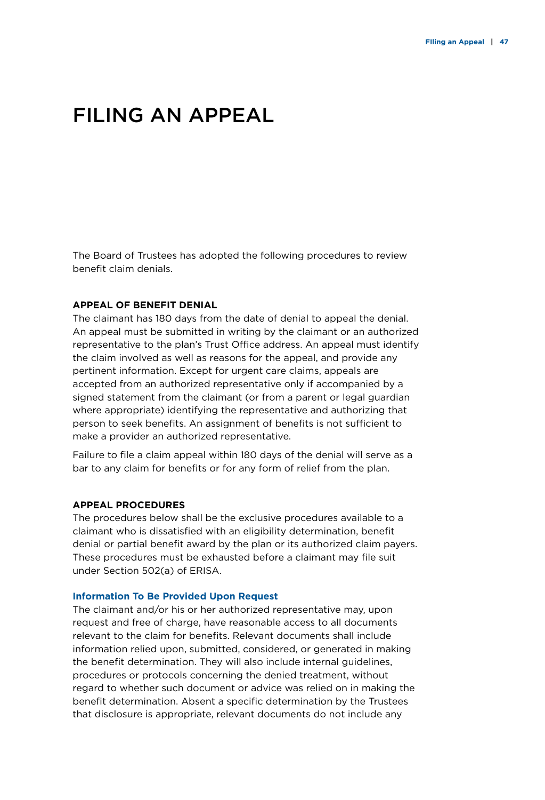# Filing an Appeal

The Board of Trustees has adopted the following procedures to review benefit claim denials.

# **Appeal of Benefit Denial**

The claimant has 180 days from the date of denial to appeal the denial. An appeal must be submitted in writing by the claimant or an authorized representative to the plan's Trust Office address. An appeal must identify the claim involved as well as reasons for the appeal, and provide any pertinent information. Except for urgent care claims, appeals are accepted from an authorized representative only if accompanied by a signed statement from the claimant (or from a parent or legal guardian where appropriate) identifying the representative and authorizing that person to seek benefits. An assignment of benefits is not sufficient to make a provider an authorized representative.

Failure to file a claim appeal within 180 days of the denial will serve as a bar to any claim for benefits or for any form of relief from the plan.

## **Appeal Procedures**

The procedures below shall be the exclusive procedures available to a claimant who is dissatisfied with an eligibility determination, benefit denial or partial benefit award by the plan or its authorized claim payers. These procedures must be exhausted before a claimant may file suit under Section 502(a) of ERISA.

## **Information To Be Provided Upon Request**

The claimant and/or his or her authorized representative may, upon request and free of charge, have reasonable access to all documents relevant to the claim for benefits. Relevant documents shall include information relied upon, submitted, considered, or generated in making the benefit determination. They will also include internal guidelines, procedures or protocols concerning the denied treatment, without regard to whether such document or advice was relied on in making the benefit determination. Absent a specific determination by the Trustees that disclosure is appropriate, relevant documents do not include any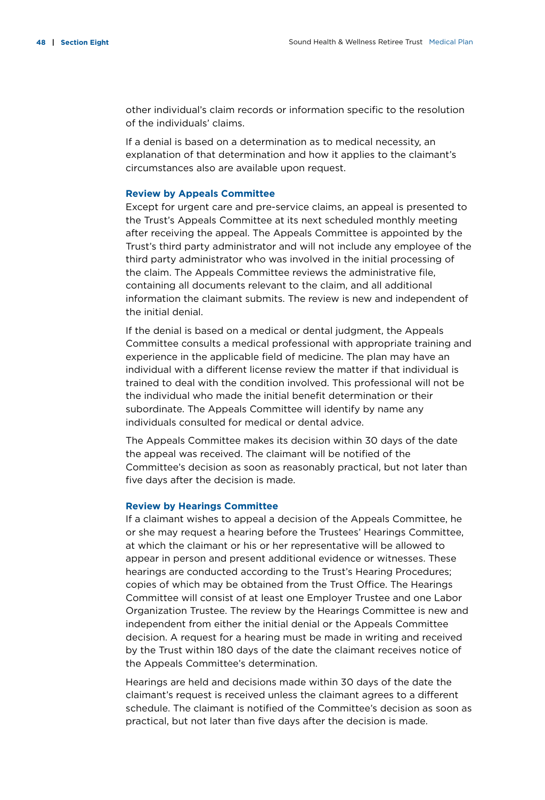other individual's claim records or information specific to the resolution of the individuals' claims.

If a denial is based on a determination as to medical necessity, an explanation of that determination and how it applies to the claimant's circumstances also are available upon request.

#### **Review by Appeals Committee**

Except for urgent care and pre-service claims, an appeal is presented to the Trust's Appeals Committee at its next scheduled monthly meeting after receiving the appeal. The Appeals Committee is appointed by the Trust's third party administrator and will not include any employee of the third party administrator who was involved in the initial processing of the claim. The Appeals Committee reviews the administrative file, containing all documents relevant to the claim, and all additional information the claimant submits. The review is new and independent of the initial denial.

If the denial is based on a medical or dental judgment, the Appeals Committee consults a medical professional with appropriate training and experience in the applicable field of medicine. The plan may have an individual with a different license review the matter if that individual is trained to deal with the condition involved. This professional will not be the individual who made the initial benefit determination or their subordinate. The Appeals Committee will identify by name any individuals consulted for medical or dental advice.

The Appeals Committee makes its decision within 30 days of the date the appeal was received. The claimant will be notified of the Committee's decision as soon as reasonably practical, but not later than five days after the decision is made.

## **Review by Hearings Committee**

If a claimant wishes to appeal a decision of the Appeals Committee, he or she may request a hearing before the Trustees' Hearings Committee, at which the claimant or his or her representative will be allowed to appear in person and present additional evidence or witnesses. These hearings are conducted according to the Trust's Hearing Procedures; copies of which may be obtained from the Trust Office. The Hearings Committee will consist of at least one Employer Trustee and one Labor Organization Trustee. The review by the Hearings Committee is new and independent from either the initial denial or the Appeals Committee decision. A request for a hearing must be made in writing and received by the Trust within 180 days of the date the claimant receives notice of the Appeals Committee's determination.

Hearings are held and decisions made within 30 days of the date the claimant's request is received unless the claimant agrees to a different schedule. The claimant is notified of the Committee's decision as soon as practical, but not later than five days after the decision is made.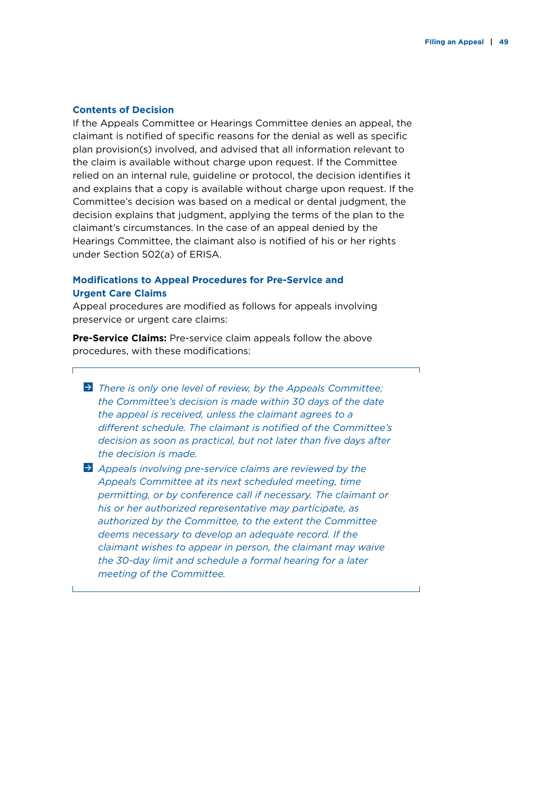## **Contents of Decision**

If the Appeals Committee or Hearings Committee denies an appeal, the claimant is notified of specific reasons for the denial as well as specific plan provision(s) involved, and advised that all information relevant to the claim is available without charge upon request. If the Committee relied on an internal rule, guideline or protocol, the decision identifies it and explains that a copy is available without charge upon request. If the Committee's decision was based on a medical or dental judgment, the decision explains that judgment, applying the terms of the plan to the claimant's circumstances. In the case of an appeal denied by the Hearings Committee, the claimant also is notified of his or her rights under Section 502(a) of ERISA.

## **Modifications to Appeal Procedures for Pre-Service and Urgent Care Claims**

Appeal procedures are modified as follows for appeals involving preservice or urgent care claims:

**Pre-Service Claims:** Pre-service claim appeals follow the above procedures, with these modifications:

- *There is only one level of review, by the Appeals Committee; the Committee's decision is made within 30 days of the date the appeal is received, unless the claimant agrees to a different schedule. The claimant is notified of the Committee's decision as soon as practical, but not later than five days after the decision is made.*
- *Appeals involving pre-service claims are reviewed by the Appeals Committee at its next scheduled meeting, time permitting, or by conference call if necessary. The claimant or his or her authorized representative may participate, as authorized by the Committee, to the extent the Committee deems necessary to develop an adequate record. If the claimant wishes to appear in person, the claimant may waive the 30-day limit and schedule a formal hearing for a later meeting of the Committee.*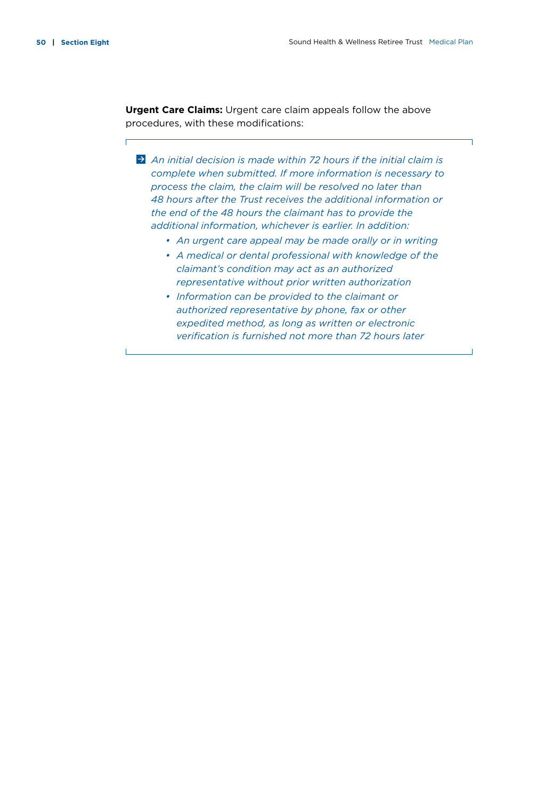Ē

**Urgent Care Claims:** Urgent care claim appeals follow the above procedures, with these modifications:

 *An initial decision is made within 72 hours if the initial claim is complete when submitted. If more information is necessary to process the claim, the claim will be resolved no later than 48 hours after the Trust receives the additional information or the end of the 48 hours the claimant has to provide the additional information, whichever is earlier. In addition:*

- *• An urgent care appeal may be made orally or in writing*
- *• A medical or dental professional with knowledge of the claimant's condition may act as an authorized representative without prior written authorization*
- *• Information can be provided to the claimant or authorized representative by phone, fax or other expedited method, as long as written or electronic verification is furnished not more than 72 hours later*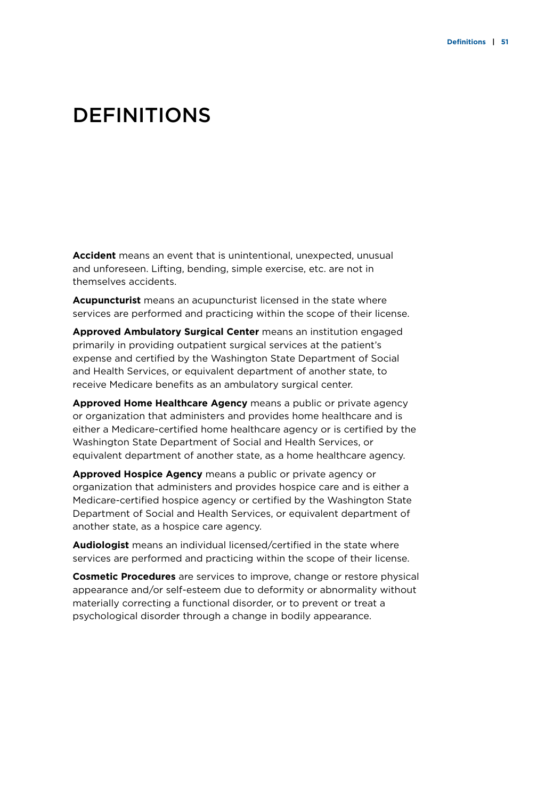# **DEFINITIONS**

**Accident** means an event that is unintentional, unexpected, unusual and unforeseen. Lifting, bending, simple exercise, etc. are not in themselves accidents.

**Acupuncturist** means an acupuncturist licensed in the state where services are performed and practicing within the scope of their license.

**Approved Ambulatory Surgical Center** means an institution engaged primarily in providing outpatient surgical services at the patient's expense and certified by the Washington State Department of Social and Health Services, or equivalent department of another state, to receive Medicare benefits as an ambulatory surgical center.

**Approved Home Healthcare Agency** means a public or private agency or organization that administers and provides home healthcare and is either a Medicare-certified home healthcare agency or is certified by the Washington State Department of Social and Health Services, or equivalent department of another state, as a home healthcare agency.

**Approved Hospice Agency** means a public or private agency or organization that administers and provides hospice care and is either a Medicare-certified hospice agency or certified by the Washington State Department of Social and Health Services, or equivalent department of another state, as a hospice care agency.

**Audiologist** means an individual licensed/certified in the state where services are performed and practicing within the scope of their license.

**Cosmetic Procedures** are services to improve, change or restore physical appearance and/or self-esteem due to deformity or abnormality without materially correcting a functional disorder, or to prevent or treat a psychological disorder through a change in bodily appearance.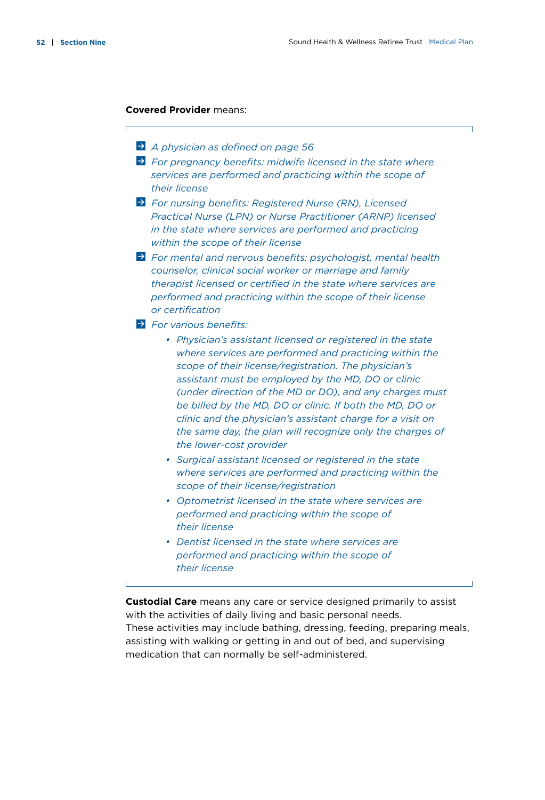## **Covered Provider** means:

- *A physician as defined on page 56*
- *P* For pregnancy benefits: midwife licensed in the state where *services are performed and practicing within the scope of their license*
- *For nursing benefits: Registered Nurse (RN), Licensed Practical Nurse (LPN) or Nurse Practitioner (ARNP) licensed in the state where services are performed and practicing within the scope of their license*
- *For mental and nervous benefits: psychologist, mental health counselor, clinical social worker or marriage and family therapist licensed or certified in the state where services are performed and practicing within the scope of their license or certification*
- *For various benefits:*
	- *• Physician's assistant licensed or registered in the state where services are performed and practicing within the scope of their license/registration. The physician's assistant must be employed by the MD, DO or clinic (under direction of the MD or DO), and any charges must be billed by the MD, DO or clinic. If both the MD, DO or clinic and the physician's assistant charge for a visit on the same day, the plan will recognize only the charges of the lower-cost provider*
	- *• Surgical assistant licensed or registered in the state where services are performed and practicing within the scope of their license/registration*
	- *• Optometrist licensed in the state where services are performed and practicing within the scope of their license*
	- *• Dentist licensed in the state where services are performed and practicing within the scope of their license*

**Custodial Care** means any care or service designed primarily to assist with the activities of daily living and basic personal needs. These activities may include bathing, dressing, feeding, preparing meals, assisting with walking or getting in and out of bed, and supervising medication that can normally be self-administered.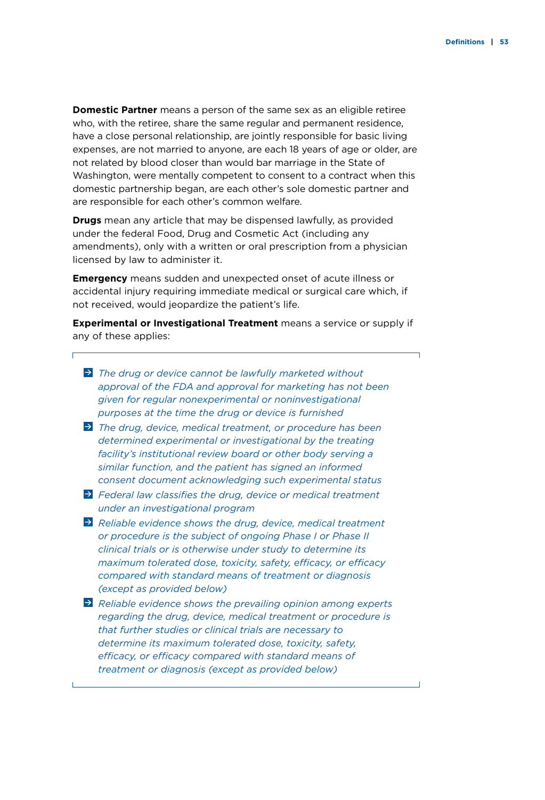**Domestic Partner** means a person of the same sex as an eligible retiree who, with the retiree, share the same regular and permanent residence, have a close personal relationship, are jointly responsible for basic living expenses, are not married to anyone, are each 18 years of age or older, are not related by blood closer than would bar marriage in the State of Washington, were mentally competent to consent to a contract when this domestic partnership began, are each other's sole domestic partner and are responsible for each other's common welfare.

**Drugs** mean any article that may be dispensed lawfully, as provided under the federal Food, Drug and Cosmetic Act (including any amendments), only with a written or oral prescription from a physician licensed by law to administer it.

**Emergency** means sudden and unexpected onset of acute illness or accidental injury requiring immediate medical or surgical care which, if not received, would jeopardize the patient's life.

**Experimental or Investigational Treatment** means a service or supply if any of these applies:

- *The drug or device cannot be lawfully marketed without approval of the FDA and approval for marketing has not been given for regular nonexperimental or noninvestigational purposes at the time the drug or device is furnished*
- *The drug, device, medical treatment, or procedure has been determined experimental or investigational by the treating facility's institutional review board or other body serving a similar function, and the patient has signed an informed consent document acknowledging such experimental status*
- *Federal law classifies the drug, device or medical treatment under an investigational program*
- *Reliable evidence shows the drug, device, medical treatment or procedure is the subject of ongoing Phase I or Phase II clinical trials or is otherwise under study to determine its maximum tolerated dose, toxicity, safety, efficacy, or efficacy compared with standard means of treatment or diagnosis (except as provided below)*
- *Reliable evidence shows the prevailing opinion among experts regarding the drug, device, medical treatment or procedure is that further studies or clinical trials are necessary to determine its maximum tolerated dose, toxicity, safety, efficacy, or efficacy compared with standard means of treatment or diagnosis (except as provided below)*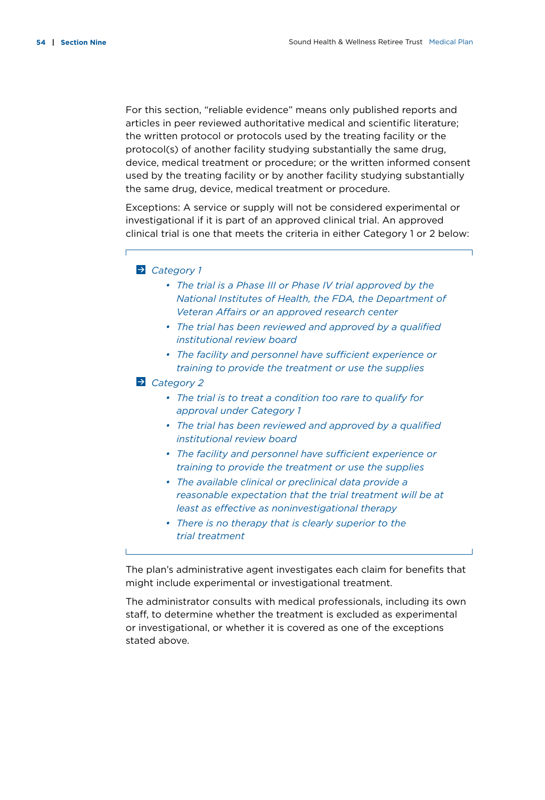For this section, "reliable evidence" means only published reports and articles in peer reviewed authoritative medical and scientific literature; the written protocol or protocols used by the treating facility or the protocol(s) of another facility studying substantially the same drug, device, medical treatment or procedure; or the written informed consent used by the treating facility or by another facility studying substantially the same drug, device, medical treatment or procedure.

Exceptions: A service or supply will not be considered experimental or investigational if it is part of an approved clinical trial. An approved clinical trial is one that meets the criteria in either Category 1 or 2 below:

## *Category 1*

Ē

- *• The trial is a Phase III or Phase IV trial approved by the National Institutes of Health, the FDA, the Department of Veteran Affairs or an approved research center*
- *• The trial has been reviewed and approved by a qualified institutional review board*
- *• The facility and personnel have sufficient experience or training to provide the treatment or use the supplies*
- *Category 2*
	- *• The trial is to treat a condition too rare to qualify for approval under Category 1*
	- *• The trial has been reviewed and approved by a qualified institutional review board*
	- *• The facility and personnel have sufficient experience or training to provide the treatment or use the supplies*
	- *• The available clinical or preclinical data provide a reasonable expectation that the trial treatment will be at least as effective as noninvestigational therapy*
	- *• There is no therapy that is clearly superior to the trial treatment*

The plan's administrative agent investigates each claim for benefits that might include experimental or investigational treatment.

The administrator consults with medical professionals, including its own staff, to determine whether the treatment is excluded as experimental or investigational, or whether it is covered as one of the exceptions stated above.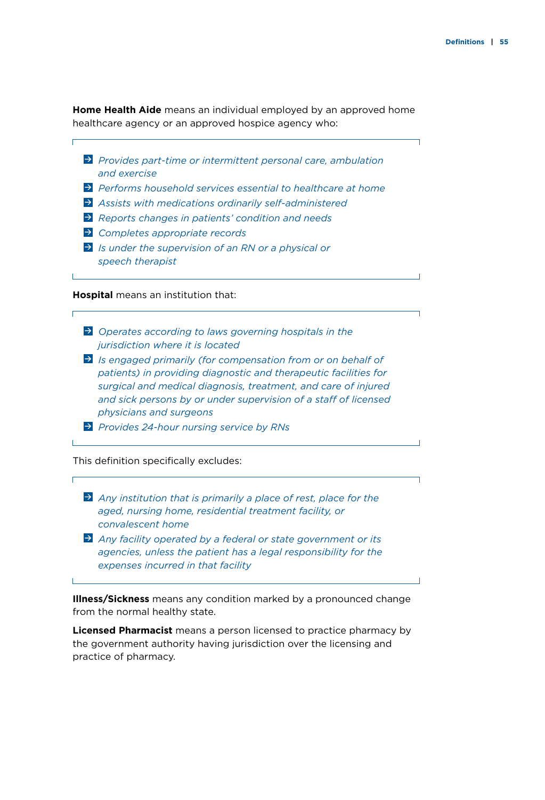**Home Health Aide** means an individual employed by an approved home healthcare agency or an approved hospice agency who:

- *Provides part-time or intermittent personal care, ambulation and exercise*
- *Performs household services essential to healthcare at home*
- *Assists with medications ordinarily self-administered*
- *Reports changes in patients' condition and needs*
- *Completes appropriate records*
- *Is under the supervision of an RN or a physical or speech therapist*

**Hospital** means an institution that:

- *Operates according to laws governing hospitals in the jurisdiction where it is located*
- *Is engaged primarily (for compensation from or on behalf of patients) in providing diagnostic and therapeutic facilities for surgical and medical diagnosis, treatment, and care of injured and sick persons by or under supervision of a staff of licensed physicians and surgeons*
- *Provides 24-hour nursing service by RNs*

This definition specifically excludes:

- *Any institution that is primarily a place of rest, place for the aged, nursing home, residential treatment facility, or convalescent home*
- *Any facility operated by a federal or state government or its agencies, unless the patient has a legal responsibility for the expenses incurred in that facility*

**Illness/Sickness** means any condition marked by a pronounced change from the normal healthy state.

**Licensed Pharmacist** means a person licensed to practice pharmacy by the government authority having jurisdiction over the licensing and practice of pharmacy.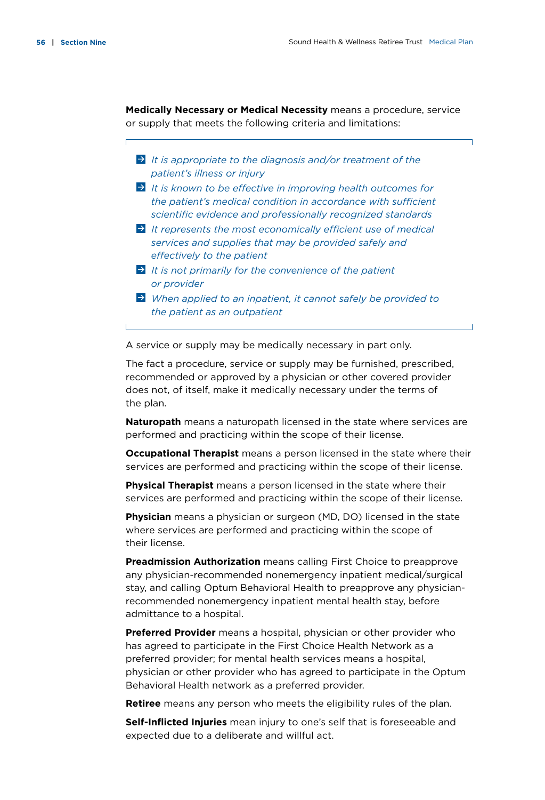$\blacksquare$ 

**Medically Necessary or Medical Necessity** means a procedure, service or supply that meets the following criteria and limitations:

- *It is appropriate to the diagnosis and/or treatment of the patient's illness or injury*
- *It is known to be effective in improving health outcomes for the patient's medical condition in accordance with sufficient scientific evidence and professionally recognized standards*
- *It represents the most economically efficient use of medical services and supplies that may be provided safely and effectively to the patient*
- *It is not primarily for the convenience of the patient or provider*
- *When applied to an inpatient, it cannot safely be provided to the patient as an outpatient*

A service or supply may be medically necessary in part only.

The fact a procedure, service or supply may be furnished, prescribed, recommended or approved by a physician or other covered provider does not, of itself, make it medically necessary under the terms of the plan.

**Naturopath** means a naturopath licensed in the state where services are performed and practicing within the scope of their license.

**Occupational Therapist** means a person licensed in the state where their services are performed and practicing within the scope of their license.

**Physical Therapist** means a person licensed in the state where their services are performed and practicing within the scope of their license.

**Physician** means a physician or surgeon (MD, DO) licensed in the state where services are performed and practicing within the scope of their license.

**Preadmission Authorization** means calling First Choice to preapprove any physician-recommended nonemergency inpatient medical/surgical stay, and calling Optum Behavioral Health to preapprove any physicianrecommended nonemergency inpatient mental health stay, before admittance to a hospital.

**Preferred Provider** means a hospital, physician or other provider who has agreed to participate in the First Choice Health Network as a preferred provider; for mental health services means a hospital, physician or other provider who has agreed to participate in the Optum Behavioral Health network as a preferred provider.

**Retiree** means any person who meets the eligibility rules of the plan.

**Self-Inflicted Injuries** mean injury to one's self that is foreseeable and expected due to a deliberate and willful act.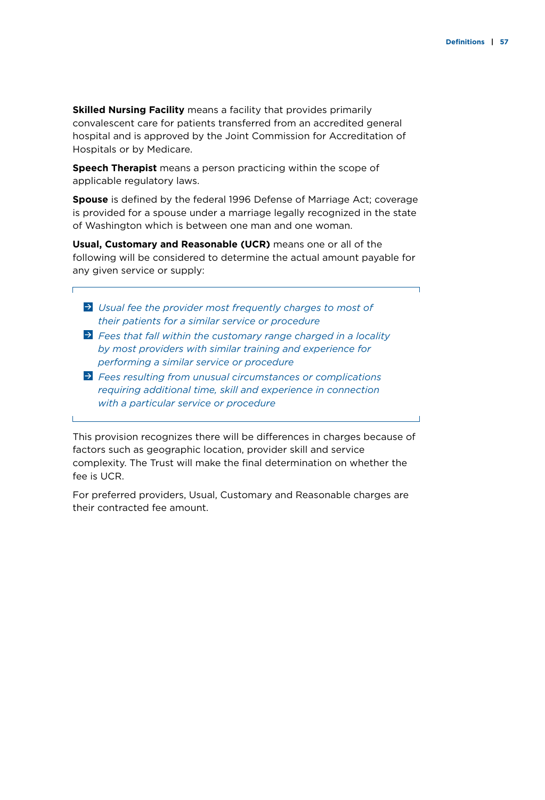**Skilled Nursing Facility** means a facility that provides primarily convalescent care for patients transferred from an accredited general hospital and is approved by the Joint Commission for Accreditation of Hospitals or by Medicare.

**Speech Therapist** means a person practicing within the scope of applicable regulatory laws.

**Spouse** is defined by the federal 1996 Defense of Marriage Act; coverage is provided for a spouse under a marriage legally recognized in the state of Washington which is between one man and one woman.

**Usual, Customary and Reasonable (UCR)** means one or all of the following will be considered to determine the actual amount payable for any given service or supply:

- *Usual fee the provider most frequently charges to most of their patients for a similar service or procedure*
- *Fees that fall within the customary range charged in a locality by most providers with similar training and experience for performing a similar service or procedure*
- *Fees resulting from unusual circumstances or complications requiring additional time, skill and experience in connection with a particular service or procedure*

This provision recognizes there will be differences in charges because of factors such as geographic location, provider skill and service complexity. The Trust will make the final determination on whether the fee is UCR.

For preferred providers, Usual, Customary and Reasonable charges are their contracted fee amount.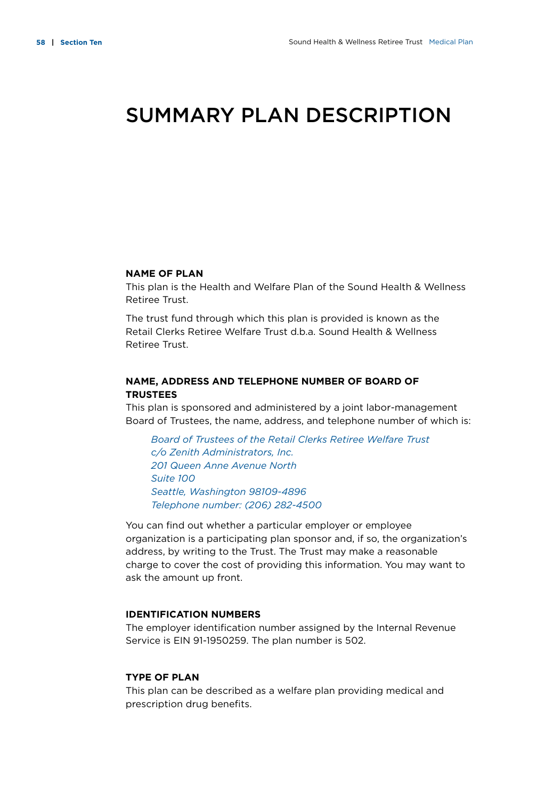# Summary Plan Description

## **Name of Plan**

This plan is the Health and Welfare Plan of the Sound Health & Wellness Retiree Trust.

The trust fund through which this plan is provided is known as the Retail Clerks Retiree Welfare Trust d.b.a. Sound Health & Wellness Retiree Trust.

## **Name, Address and Telephone Number of Board of Trustees**

This plan is sponsored and administered by a joint labor-management Board of Trustees, the name, address, and telephone number of which is:

*Board of Trustees of the Retail Clerks Retiree Welfare Trust c/o Zenith Administrators, Inc. 201 Queen Anne Avenue North Suite 100 Seattle, Washington 98109-4896 Telephone number: (206) 282-4500*

You can find out whether a particular employer or employee organization is a participating plan sponsor and, if so, the organization's address, by writing to the Trust. The Trust may make a reasonable charge to cover the cost of providing this information. You may want to ask the amount up front.

#### **Identification Numbers**

The employer identification number assigned by the Internal Revenue Service is EIN 91-1950259. The plan number is 502.

## **Type of Plan**

This plan can be described as a welfare plan providing medical and prescription drug benefits.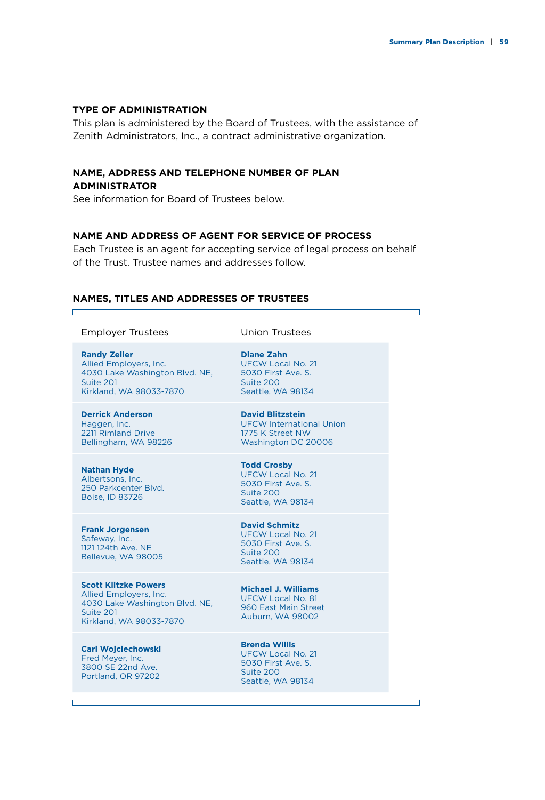## **Type of Administration**

This plan is administered by the Board of Trustees, with the assistance of Zenith Administrators, Inc., a contract administrative organization.

# **Name, Address and Telephone Number of Plan Administrator**

See information for Board of Trustees below.

### **Name and Address of Agent for Service of Process**

Each Trustee is an agent for accepting service of legal process on behalf of the Trust. Trustee names and addresses follow.

### **Names, Titles and Addresses of Trustees**

Employer Trustees Union Trustees

**Randy Zeiler** Allied Employers, Inc. 4030 Lake Washington Blvd. NE, Suite 201 Kirkland, WA 98033-7870

**Derrick Anderson** Haggen, Inc. 2211 Rimland Drive Bellingham, WA 98226

**Nathan Hyde** Albertsons, Inc. 250 Parkcenter Blvd. Boise, ID 83726

**Frank Jorgensen** Safeway, Inc. 1121 124th Ave. NE Bellevue, WA 98005

**Scott Klitzke Powers** Allied Employers, Inc. 4030 Lake Washington Blvd. NE, Suite 201 Kirkland, WA 98033-7870

**Carl Wojciechowski** Fred Meyer, Inc. 3800 SE 22nd Ave. Portland, OR 97202

**Diane Zahn** UFCW Local No. 21 5030 First Ave. S. Suite 200 Seattle, WA 98134

**David Blitzstein** UFCW International Union 1775 K Street NW Washington DC 20006

**Todd Crosby** UFCW Local No. 21 5030 First Ave. S. Suite 200 Seattle, WA 98134

**David Schmitz** UFCW Local No. 21 5030 First Ave. S. Suite 200 Seattle, WA 98134

**Michael J. Williams** UFCW Local No. 81 960 East Main Street Auburn, WA 98002

**Brenda Willis** UFCW Local No. 21 5030 First Ave. S. Suite 200 Seattle, WA 98134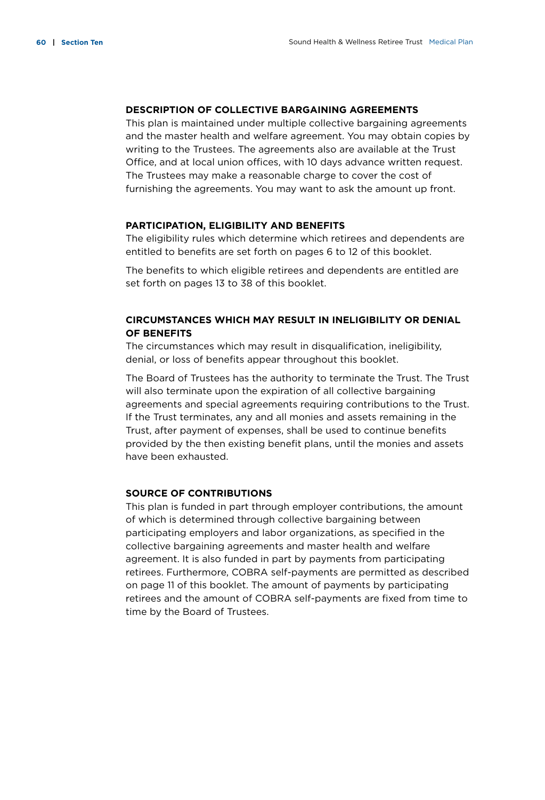## **Description of Collective Bargaining Agreements**

This plan is maintained under multiple collective bargaining agreements and the master health and welfare agreement. You may obtain copies by writing to the Trustees. The agreements also are available at the Trust Office, and at local union offices, with 10 days advance written request. The Trustees may make a reasonable charge to cover the cost of furnishing the agreements. You may want to ask the amount up front.

#### **Participation, Eligibility and Benefits**

The eligibility rules which determine which retirees and dependents are entitled to benefits are set forth on pages 6 to 12 of this booklet.

The benefits to which eligible retirees and dependents are entitled are set forth on pages 13 to 38 of this booklet.

# **Circumstances Which May Result in Ineligibility or Denial of Benefits**

The circumstances which may result in disqualification, ineligibility, denial, or loss of benefits appear throughout this booklet.

The Board of Trustees has the authority to terminate the Trust. The Trust will also terminate upon the expiration of all collective bargaining agreements and special agreements requiring contributions to the Trust. If the Trust terminates, any and all monies and assets remaining in the Trust, after payment of expenses, shall be used to continue benefits provided by the then existing benefit plans, until the monies and assets have been exhausted.

### **Source of Contributions**

This plan is funded in part through employer contributions, the amount of which is determined through collective bargaining between participating employers and labor organizations, as specified in the collective bargaining agreements and master health and welfare agreement. It is also funded in part by payments from participating retirees. Furthermore, COBRA self-payments are permitted as described on page 11 of this booklet. The amount of payments by participating retirees and the amount of COBRA self-payments are fixed from time to time by the Board of Trustees.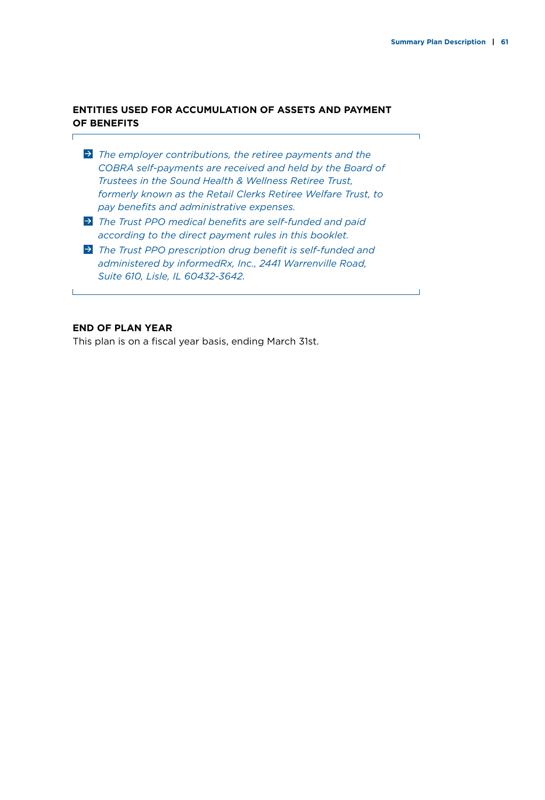٦

**Contract Contract** 

# **Entities Used for Accumulation of Assets and Payment of Benefits**

- *The employer contributions, the retiree payments and the COBRA self-payments are received and held by the Board of Trustees in the Sound Health & Wellness Retiree Trust, formerly known as the Retail Clerks Retiree Welfare Trust, to pay benefits and administrative expenses.*
- *The Trust PPO medical benefits are self-funded and paid according to the direct payment rules in this booklet.*
- *The Trust PPO prescription drug benefit is self-funded and administered by informedRx, Inc., 2441 Warrenville Road, Suite 610, Lisle, IL 60432-3642.*

## **End of Plan Year**

 $\Gamma$ 

This plan is on a fiscal year basis, ending March 31st.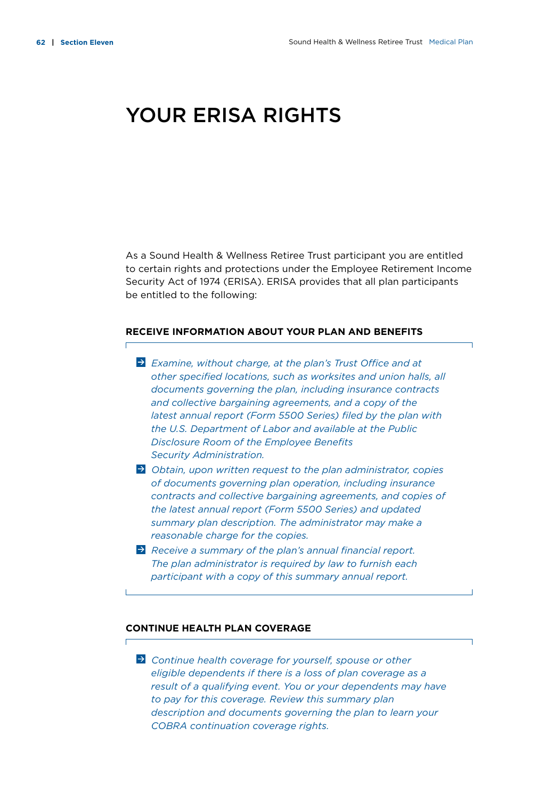# YOUR ERISA RIGHTS

As a Sound Health & Wellness Retiree Trust participant you are entitled to certain rights and protections under the Employee Retirement Income Security Act of 1974 (ERISA). ERISA provides that all plan participants be entitled to the following:

#### **Receive Information About Your Plan and Benefits**

- *Examine, without charge, at the plan's Trust Office and at other specified locations, such as worksites and union halls, all documents governing the plan, including insurance contracts and collective bargaining agreements, and a copy of the latest annual report (Form 5500 Series) filed by the plan with the U.S. Department of Labor and available at the Public Disclosure Room of the Employee Benefits Security Administration.*
- *Obtain, upon written request to the plan administrator, copies of documents governing plan operation, including insurance contracts and collective bargaining agreements, and copies of the latest annual report (Form 5500 Series) and updated summary plan description. The administrator may make a reasonable charge for the copies.*
- *Receive a summary of the plan's annual financial report. The plan administrator is required by law to furnish each participant with a copy of this summary annual report.*

## **Continue Health Plan Coverage**

г

 *Continue health coverage for yourself, spouse or other eligible dependents if there is a loss of plan coverage as a result of a qualifying event. You or your dependents may have to pay for this coverage. Review this summary plan description and documents governing the plan to learn your COBRA continuation coverage rights.*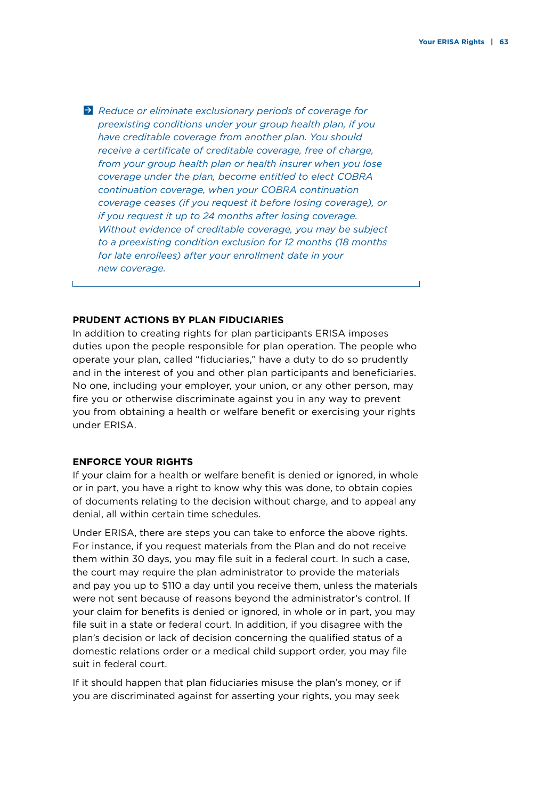*Reduce or eliminate exclusionary periods of coverage for preexisting conditions under your group health plan, if you have creditable coverage from another plan. You should receive a certificate of creditable coverage, free of charge, from your group health plan or health insurer when you lose coverage under the plan, become entitled to elect COBRA continuation coverage, when your COBRA continuation coverage ceases (if you request it before losing coverage), or if you request it up to 24 months after losing coverage. Without evidence of creditable coverage, you may be subject to a preexisting condition exclusion for 12 months (18 months for late enrollees) after your enrollment date in your new coverage.*

## **Prudent Actions by Plan Fiduciaries**

In addition to creating rights for plan participants ERISA imposes duties upon the people responsible for plan operation. The people who operate your plan, called "fiduciaries," have a duty to do so prudently and in the interest of you and other plan participants and beneficiaries. No one, including your employer, your union, or any other person, may fire you or otherwise discriminate against you in any way to prevent you from obtaining a health or welfare benefit or exercising your rights under ERISA.

# **Enforce Your Rights**

If your claim for a health or welfare benefit is denied or ignored, in whole or in part, you have a right to know why this was done, to obtain copies of documents relating to the decision without charge, and to appeal any denial, all within certain time schedules.

Under ERISA, there are steps you can take to enforce the above rights. For instance, if you request materials from the Plan and do not receive them within 30 days, you may file suit in a federal court. In such a case, the court may require the plan administrator to provide the materials and pay you up to \$110 a day until you receive them, unless the materials were not sent because of reasons beyond the administrator's control. If your claim for benefits is denied or ignored, in whole or in part, you may file suit in a state or federal court. In addition, if you disagree with the plan's decision or lack of decision concerning the qualified status of a domestic relations order or a medical child support order, you may file suit in federal court.

If it should happen that plan fiduciaries misuse the plan's money, or if you are discriminated against for asserting your rights, you may seek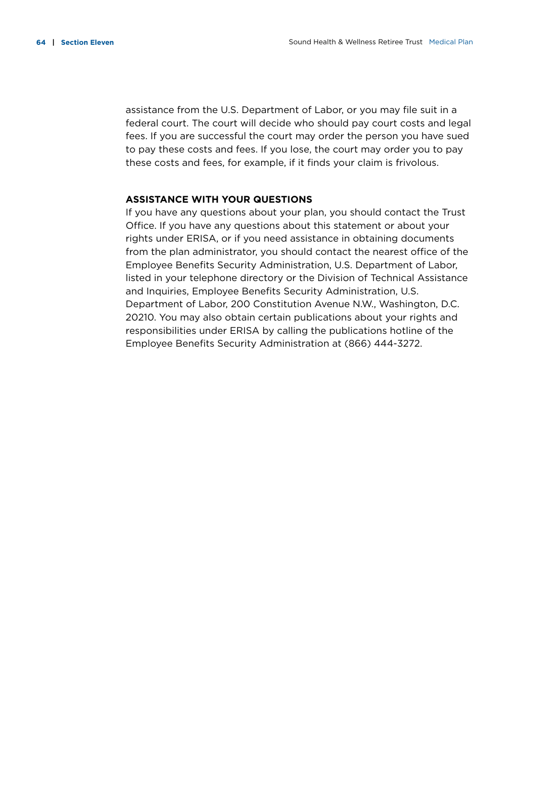assistance from the U.S. Department of Labor, or you may file suit in a federal court. The court will decide who should pay court costs and legal fees. If you are successful the court may order the person you have sued to pay these costs and fees. If you lose, the court may order you to pay these costs and fees, for example, if it finds your claim is frivolous.

## **Assistance With Your Questions**

If you have any questions about your plan, you should contact the Trust Office. If you have any questions about this statement or about your rights under ERISA, or if you need assistance in obtaining documents from the plan administrator, you should contact the nearest office of the Employee Benefits Security Administration, U.S. Department of Labor, listed in your telephone directory or the Division of Technical Assistance and Inquiries, Employee Benefits Security Administration, U.S. Department of Labor, 200 Constitution Avenue N.W., Washington, D.C. 20210. You may also obtain certain publications about your rights and responsibilities under ERISA by calling the publications hotline of the Employee Benefits Security Administration at (866) 444-3272.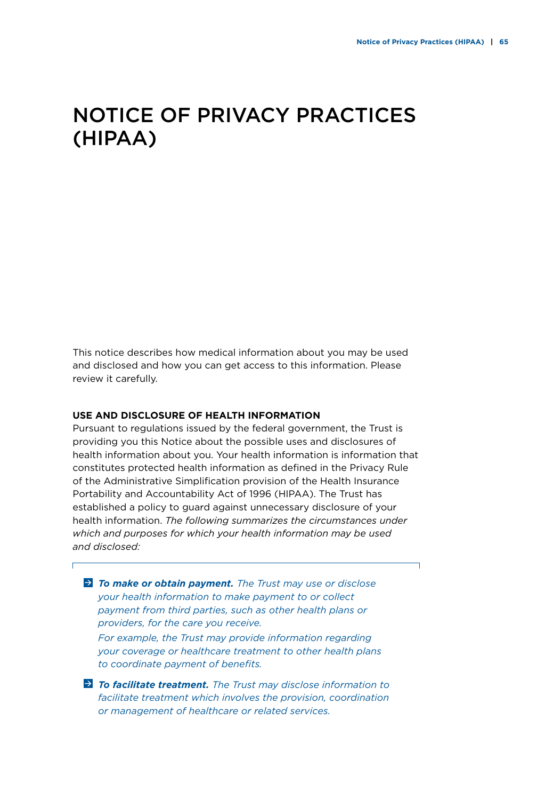# Notice of Privacy Practices (HIPAA)

This notice describes how medical information about you may be used and disclosed and how you can get access to this information. Please review it carefully.

### **Use and Disclosure of Health Information**

Pursuant to regulations issued by the federal government, the Trust is providing you this Notice about the possible uses and disclosures of health information about you. Your health information is information that constitutes protected health information as defined in the Privacy Rule of the Administrative Simplification provision of the Health Insurance Portability and Accountability Act of 1996 (HIPAA). The Trust has established a policy to guard against unnecessary disclosure of your health information. *The following summarizes the circumstances under which and purposes for which your health information may be used and disclosed:*

 *To make or obtain payment. The Trust may use or disclose your health information to make payment to or collect payment from third parties, such as other health plans or providers, for the care you receive.* 

*For example, the Trust may provide information regarding your coverage or healthcare treatment to other health plans to coordinate payment of benefits.*

 *To facilitate treatment. The Trust may disclose information to facilitate treatment which involves the provision, coordination or management of healthcare or related services.*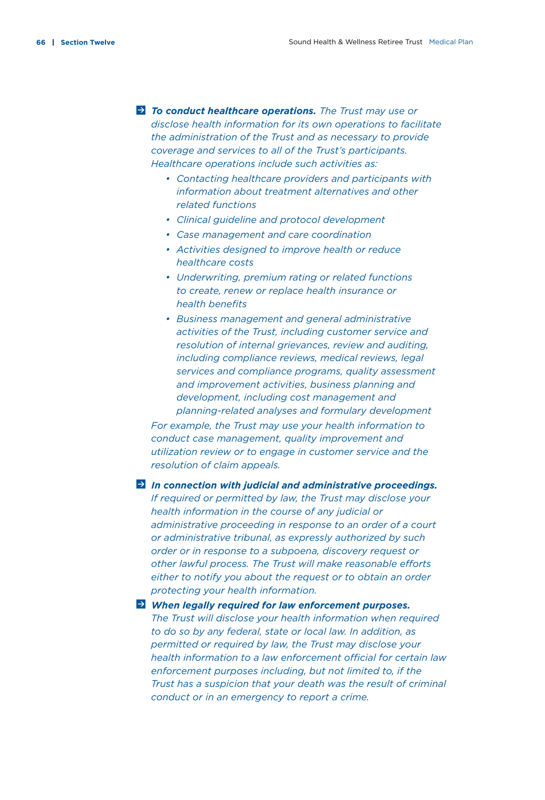*To conduct healthcare operations. The Trust may use or disclose health information for its own operations to facilitate the administration of the Trust and as necessary to provide coverage and services to all of the Trust's participants. Healthcare operations include such activities as:*

- *• Contacting healthcare providers and participants with information about treatment alternatives and other related functions*
- *• Clinical guideline and protocol development*
- *• Case management and care coordination*
- *• Activities designed to improve health or reduce healthcare costs*
- *• Underwriting, premium rating or related functions to create, renew or replace health insurance or health benefits*
- *• Business management and general administrative activities of the Trust, including customer service and resolution of internal grievances, review and auditing, including compliance reviews, medical reviews, legal services and compliance programs, quality assessment and improvement activities, business planning and development, including cost management and planning-related analyses and formulary development*

*For example, the Trust may use your health information to conduct case management, quality improvement and utilization review or to engage in customer service and the resolution of claim appeals.*

 *In connection with judicial and administrative proceedings. If required or permitted by law, the Trust may disclose your health information in the course of any judicial or administrative proceeding in response to an order of a court or administrative tribunal, as expressly authorized by such order or in response to a subpoena, discovery request or other lawful process. The Trust will make reasonable efforts either to notify you about the request or to obtain an order protecting your health information.*

### *When legally required for law enforcement purposes.*

*The Trust will disclose your health information when required to do so by any federal, state or local law. In addition, as permitted or required by law, the Trust may disclose your health information to a law enforcement official for certain law enforcement purposes including, but not limited to, if the Trust has a suspicion that your death was the result of criminal conduct or in an emergency to report a crime.*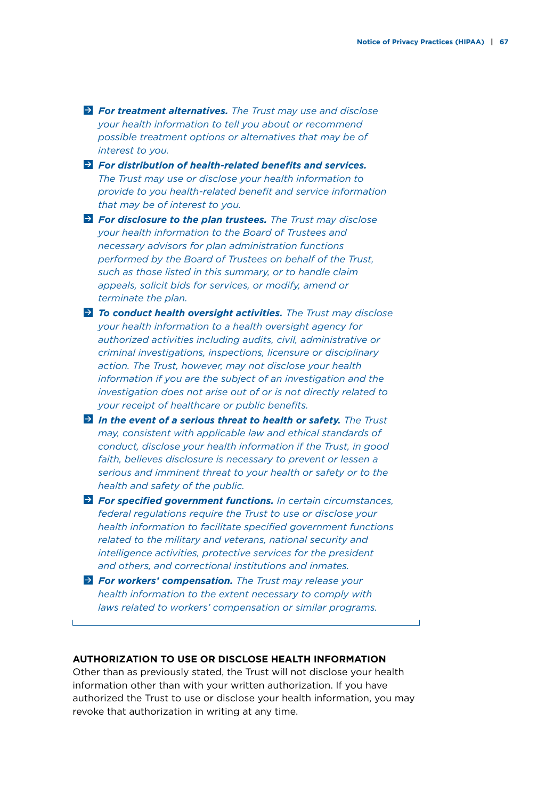- *For treatment alternatives. The Trust may use and disclose your health information to tell you about or recommend possible treatment options or alternatives that may be of interest to you.*
- *For distribution of health-related benefits and services. The Trust may use or disclose your health information to provide to you health-related benefit and service information that may be of interest to you.*
- *For disclosure to the plan trustees. The Trust may disclose your health information to the Board of Trustees and necessary advisors for plan administration functions performed by the Board of Trustees on behalf of the Trust, such as those listed in this summary, or to handle claim appeals, solicit bids for services, or modify, amend or terminate the plan.*
- *To conduct health oversight activities. The Trust may disclose your health information to a health oversight agency for authorized activities including audits, civil, administrative or criminal investigations, inspections, licensure or disciplinary action. The Trust, however, may not disclose your health information if you are the subject of an investigation and the investigation does not arise out of or is not directly related to your receipt of healthcare or public benefits.*
- $\Rightarrow$  In the event of a serious threat to health or safety. The Trust *may, consistent with applicable law and ethical standards of conduct, disclose your health information if the Trust, in good*  faith, believes disclosure is necessary to prevent or lessen a *serious and imminent threat to your health or safety or to the health and safety of the public.*
- *For specified government functions. In certain circumstances, federal regulations require the Trust to use or disclose your health information to facilitate specified government functions related to the military and veterans, national security and intelligence activities, protective services for the president and others, and correctional institutions and inmates.*
- *For workers' compensation. The Trust may release your health information to the extent necessary to comply with laws related to workers' compensation or similar programs.*

#### **Authorization to Use or Disclose Health Information**

Other than as previously stated, the Trust will not disclose your health information other than with your written authorization. If you have authorized the Trust to use or disclose your health information, you may revoke that authorization in writing at any time.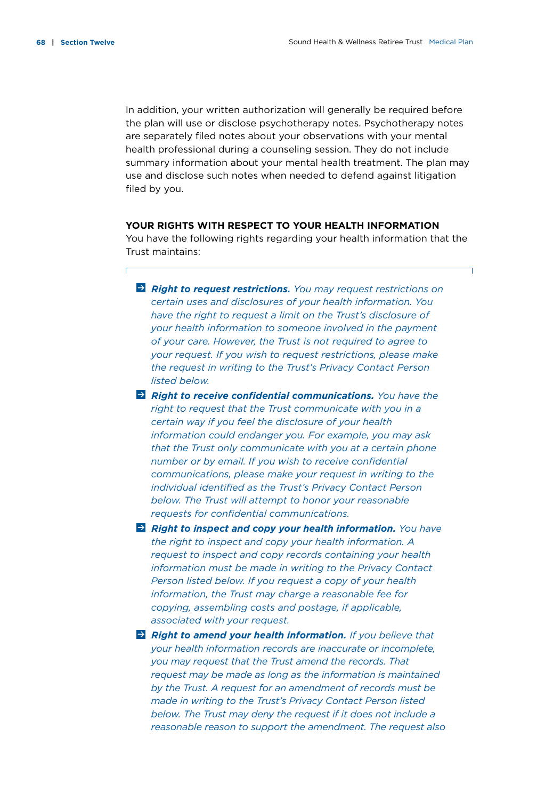In addition, your written authorization will generally be required before the plan will use or disclose psychotherapy notes. Psychotherapy notes are separately filed notes about your observations with your mental health professional during a counseling session. They do not include summary information about your mental health treatment. The plan may use and disclose such notes when needed to defend against litigation filed by you.

## **Your Rights With Respect to Your Health Information**

You have the following rights regarding your health information that the Trust maintains:

- *Right to request restrictions. You may request restrictions on certain uses and disclosures of your health information. You have the right to request a limit on the Trust's disclosure of your health information to someone involved in the payment of your care. However, the Trust is not required to agree to your request. If you wish to request restrictions, please make the request in writing to the Trust's Privacy Contact Person listed below.*
- *E* Right to receive confidential communications. You have the *right to request that the Trust communicate with you in a certain way if you feel the disclosure of your health information could endanger you. For example, you may ask that the Trust only communicate with you at a certain phone number or by email. If you wish to receive confidential communications, please make your request in writing to the individual identified as the Trust's Privacy Contact Person below. The Trust will attempt to honor your reasonable requests for confidential communications.*
- *Right to inspect and copy your health information. You have the right to inspect and copy your health information. A request to inspect and copy records containing your health information must be made in writing to the Privacy Contact Person listed below. If you request a copy of your health information, the Trust may charge a reasonable fee for copying, assembling costs and postage, if applicable, associated with your request.*
- *Right to amend your health information.* If you believe that *your health information records are inaccurate or incomplete, you may request that the Trust amend the records. That request may be made as long as the information is maintained by the Trust. A request for an amendment of records must be made in writing to the Trust's Privacy Contact Person listed below. The Trust may deny the request if it does not include a reasonable reason to support the amendment. The request also*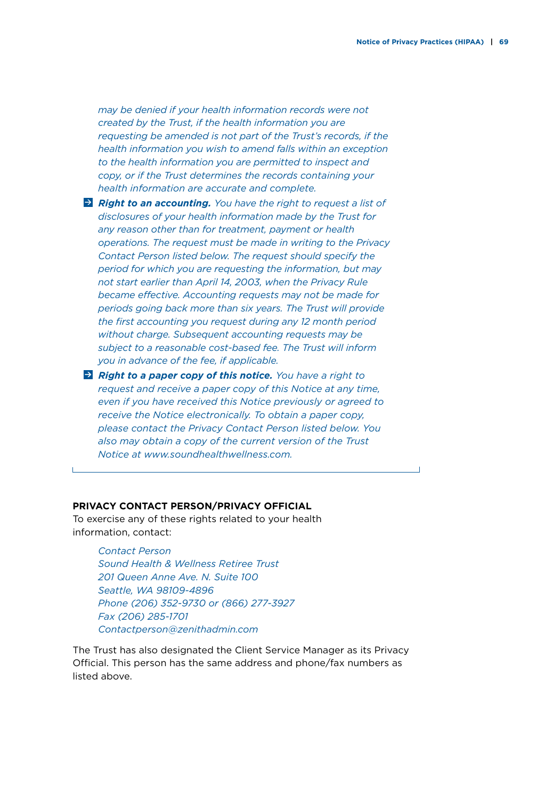*may be denied if your health information records were not created by the Trust, if the health information you are requesting be amended is not part of the Trust's records, if the health information you wish to amend falls within an exception to the health information you are permitted to inspect and copy, or if the Trust determines the records containing your health information are accurate and complete.*

*P Right to an accounting. You have the right to request a list of disclosures of your health information made by the Trust for any reason other than for treatment, payment or health operations. The request must be made in writing to the Privacy Contact Person listed below. The request should specify the period for which you are requesting the information, but may not start earlier than April 14, 2003, when the Privacy Rule became effective. Accounting requests may not be made for periods going back more than six years. The Trust will provide the first accounting you request during any 12 month period without charge. Subsequent accounting requests may be subject to a reasonable cost-based fee. The Trust will inform you in advance of the fee, if applicable.*

*Right to a paper copy of this notice. You have a right to request and receive a paper copy of this Notice at any time, even if you have received this Notice previously or agreed to receive the Notice electronically. To obtain a paper copy, please contact the Privacy Contact Person listed below. You also may obtain a copy of the current version of the Trust Notice at www.soundhealthwellness.com.*

## **Privacy Contact Person/Privacy Official**

To exercise any of these rights related to your health information, contact:

*Contact Person Sound Health & Wellness Retiree Trust 201 Queen Anne Ave. N. Suite 100 Seattle, WA 98109-4896 Phone (206) 352-9730 or (866) 277-3927 Fax (206) 285-1701 Contactperson@zenithadmin.com*

The Trust has also designated the Client Service Manager as its Privacy Official. This person has the same address and phone/fax numbers as listed above.